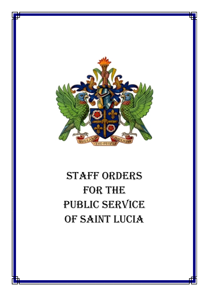

# STAFF ORDERS FOR THE PUBLIC SERVICE OF SAINT LUCIA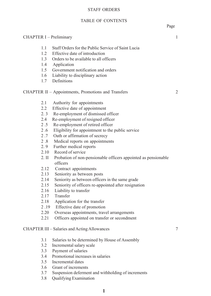#### STAFF ORDERS

#### TABLE OF CONTENTS

# CHAPTER I – Preliminary 1

- 1.1 Staff Orders for the Public Service of Saint Lucia 1.2 Effective date of introduction
- 1.3 Orders to be available to all officers
- 1.4 Application
- 1.5 Government notification and orders
- 1.6 Liability to disciplinary action
- 1.7 Definitions

#### CHAPTER II – Appointments, Promotions and Transfers 2

- 2.1 Authority for appointments
- 2.2 Effective date of appointment
- 2. 3 Re-employment of dismissed officer
- 2.4 Re-employment of resigned officer
- 2 .5 Re-employment of retired officer
- 2 .6 Eligibility for appointment to the public service
- 2 .7 Oath or affirmation of secrecy
- 2 .8 Medical reports on appointments
- 2. 9 Further medical reports
- 2.10 Record of service
- 2. II Probation of non-pensionable officers appointed as pensionable officers
- 2.12 Contract appointments
- 2.13 Seniority as between posts
- 2.14 Seniority as between officers in the same grade
- 2.15 Seniority of officers re-appointed after resignation
- 2.16 Liability to transfer
- 2.17 Transfer
- 2.18 Application for the transfer
- 2 .19 Effective date of promotion
- 2.20 Overseas appointments, travel arrangements
- 2.21 Officers appointed on transfer or secondment

#### CHAPTER III – Salaries and Acting Allowances 7

- 3.1 Salaries to be determined by House of Assembly
- 3.2 Incremental salary scale
- 3.3 Payment of salaries
- 3.4 Promotional increases in salaries
- 3.5 Incremental dates
- 3.6 Grant of increments
- 3.7 Suspension deferment and withholding of increments
- 3.8 Qualifying Examination

Page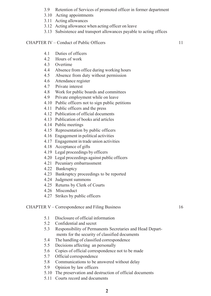- 3.9 Retention of Services of promoted officer in former department
- 3.10 Acting appointments
- 3.11 Acting allowances
- 3.12 Acting allowance when acting officer on leave
- 3.13 Subsistence and transport allowances payable to acting offices

#### CHAPTER IV – Conduct of Public Officers 11

- 4.1 Duties of officers
- 4.2 Hours of work
- 4.3 Overtime
- 4.4 Absence from office during working hours
- 4.5 Absence from duty without permission
- 4.6 Attendance register
- 4.7 Private interest
- 4.8 Work for public boards and committees
- 4.9 Private employment while on leave
- 4.10 Public officers not to sign public petitions
- 4.11 Public officers and the press
- 4.12 Publication of official documents
- 4.13 Publication of books arid articles
- 4.14 Public meetings
- 4.15 Representation by public officers
- 4.16 Engagement in political activities
- 4.17 Engagement in trade union activities
- 4.18 Acceptance of gifts
- 4.19 Legal proceedings by officers
- 4.20 Legal proceedings against public officers
- 4.21 Pecuniary embarrassment
- 4.22 Bankruptcy
- 4.23 Bankruptcy proceedings to be reported
- 4.24 Judgment summons
- 4.25 Returns by Clerk of Courts
- 4.26 Misconduct
- 4.27 Strikes by public officers

#### CHAPTER V – Correspondence and Filing Business 16

- 5.1 Disclosure of official information
- 5.2 Confidential and secret
- 5.3 Responsibility of Permanents Secretaries and Head Depart ments for the security of classified documents
- 5.4 The handling of classified correspondence
- 5.5 Decisions affecting an personally
- 5.6 Copies of official correspondence not to be made
- 5.7 Official correspondence
- 5.8 Communications to be answered without delay
- 5.9 Opinion by law officers
- 5.10 The preservation and destruction of official documents
- 5.11 Courts record and documents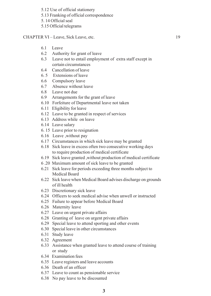5.12 Use of official stationery

5.13 Franking of official correspondence

5. 14 Official seal

5.15 Official telegrams

CHAPTER VI – Leave, Sick Leave, etc. 19

- 6.1 Leave
- 6.2 Authority for grant of leave
- 6.3 Leave not to entail employment of extra staff except in certain circumstances
- 6.4 Cancellation of leave
- 6. 5 Extensions of leave
- 6.6 Compulsory leave
- 6.7 Absence without leave
- 6.8 Leave not due
- 6.9 Arrangements for the grant of leave
- 6.10 Forfeiture of Departmental leave not taken
- 6.11 Eligibility for leave
- 6.12 Leave to be granted in respect of services
- 6.13 Address while on leave
- 6.14 Leave salary
- 6. 15 Leave prior to resignation
- 6.16 Leave ,without pay
- 6.17 Circumstances in which sick leave may be granted
- 6.18 Sick leave in excess often two consecutive working days to require production of medical certificate
- 6.19 Sick leave granted ,without production of medical certificate
- 6 .20 Maximum amount of sick leave to be granted
- 6.21 Sick leave for periods exceeding three months subject to Medical Board
- 6.22 Sick leave when Medical Board advises discharge on grounds of ill health
- 6.23 Discretionary sick leave
- 6.24 Officers to seek medical advise when unwell or instructed
- 6.25 Failure to appear before Medical Board
- 6.26 Maternity leave
- 6.27 Leave on urgent private affairs
- 6.28 Granting of leave on urgent private affairs
- 6.29 Special leave to attend sporting and other events
- 6.30 Special leave in other circumstances
- 6.31 Study leave
- 6.32 Agreement
- 6.33 Assistance when granted leave to attend course of training or study
- 6.34 Examination fees
- 6.35 Leave registers and leave accounts
- 6.36 Death of an officer
- 6.37 Leave to count as pensionable service
- 6.38 No pay leave to be discounted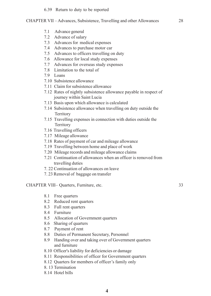#### 6.39 Return to duty to be reported

#### CHAPTER VII – Advances, Subsistence, Travelling and other Allowances 28

- 7.1 Advance general
- 7.2 Advance of salary
- 7.3 Advances for medical expenses
- 7.4 Advances to purchase motor car
- 7.5 Advances to officers travelling on duty
- 7.6 Allowance for local study expenses
- 7.7 Advances for overseas study expenses
- 7.8 Limitation to the total of
- 7.9 Loans
- 7.10 Subsistence allowance
- 7.11 Claim for subsistence allowance
- 7.12 Rates of nightly subsistence allowance payable in respect of journey within Saint Lucia
- 7.13 Basis upon which allowance is calculated
- 7.14 Subsistence allowance when travelling on duty outside the Territory
- 7.15 Travelling expenses in connection with duties outside the Territory
- 7.16 Travelling officers
- 7.17 Mileage allowance
- 7.18 Rates of payment of car and mileage allowance
- 7.19 Travelling between home and place of work
- 7.20 Mileage records and mileage allowance claims
- 7.21 Continuation of allowances when an officer is removed from travelling duties
- 7. 22 Continuation of allowances on leave
- 7. 23 Removal of baggage on transfer

#### CHAPTER VIII– Quarters, Furniture, etc. 33

- 8.1 Free quarters
- 8.2 Reduced rent quarters
- 8.3 Full rent quarters
- 8.4 Furniture
- 8.5 Allocation of Government quarters
- 8.6 Sharing of quarters
- 8.7 Payment of rent
- 8.8 Duties of Permanent Secretary, Personnel
- 8.9 Handing over and taking over of Government quarters and furniture
- 8.10 Officer's liability for deficiencies or damage
- 8.11 Responsibilities of officer for Government quarters
- 8.12 Quarters for members of officer's family only
- 8. 13 Termination
- 8.14 Hotel bills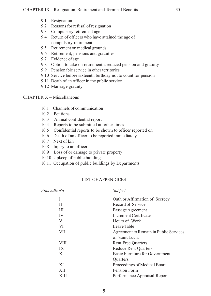- 9.1 Resignation
- 9.2 Reasons for refusal of resignation
- 9.3 Compulsory retirement age
- 9.4 Return of officers who have attained the age of compulsory retirement
- 9.5 Retirement on medical grounds
- 9.6 Retirement, pensions and gratuities
- 9.7 Evidence of age
- 9.8 Option to take on retirement a reduced pension and gratuity
- 9.9 Pensionable service in other territories
- 9.10 Service before sixteenth birthday not to count for pension
- 9.11 Death of an officer in the public service
- 9.12 Marriage gratuity

#### CHAPTER X – Miscellaneous

- 10.1 Channels of communication
- 10.2 Petitions
- 10.3 Annual confidential report
- 10.4 Reports to be submitted at other times
- 10.5 Confidential reports to be shown to officer reported on
- 10.6 Death of an officer to be reported immediately
- 10.7 Next of kin
- 10.8 Injury to an officer
- 10.9 Loss of or damage to private property
- 10.10 Upkeep of public buildings
- 10.11 Occupation of public buildings by Departments

#### LIST OF APPENDICES

| Appendix No. | Subject                                |
|--------------|----------------------------------------|
|              | Oath or Affirmation of Secrecy         |
| Н            | Record of Service                      |
| Ш            | Passage Agreement                      |
| IV           | Increment Certificate                  |
| V            | Hours of Work                          |
| VI           | Leave Table                            |
| VІІ          | Agreement to Remain in Public Services |
|              | of Saint Lucia                         |
| VIII         | <b>Rent Free Quarters</b>              |
| IX           | <b>Reduce Rent Quarters</b>            |
| X            | Basic Furniture for Government         |
|              | <b>Ouarters</b>                        |
| XI           | Proceedings of Medical Board           |
| XII          | Pension Form                           |
| XIII         | Performance Appraisal Report           |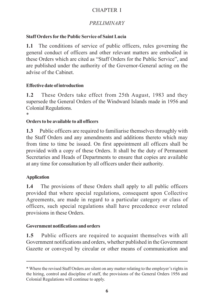# CHAPTER I

# *PRELIMINARY*

## **Staff Orders for the Public Service of Saint Lucia**

**1.1** The conditions of service of public officers, rules governing the general conduct of officers and other relevant matters are embodied in these Orders which are cited as "Staff Orders for the Public Service", and are published under the authority of the Governor-General acting on the advise of the Cabinet.

#### **Effective date of introduction**

**1.2** These Orders take effect from 25th August, 1983 and they supersede the General Orders of the Windward Islands made in 1956 and Colonial Regulations.

\*

#### **Orders to be available to all officers**

**1.3** Public officers are required to familiarise themselves throughly with the Staff Orders and any amendments and additions thereto which may from time to time be issued. On first appointment all officers shall be provided with a copy of these Orders. It shall be the duty of Permanent Secretaries and Heads of Departments to ensure that copies are available at any time for consultation by all officers under their authority.

#### **Application**

**1.4** The provisions of these Orders shall apply to all public officers provided that where special regulations, consequent upon Collective Agreements, are made in regard to a particular category or class of officers, such special regulations shall have precedence over related provisions in these Orders.

#### **Government notifications and orders**

**1.5** Public officers are required to acquaint themselves with all Government notifications and orders, whether published in the Government Gazette or conveyed by circular or other means of communication and

<sup>\*</sup> Where the revised Staff Orders are silent on any matter relating to the employer's rights in the hiring, control and discipline of staff, the provisions of the General Orders 1956 and Colonial Regulations will continue to apply.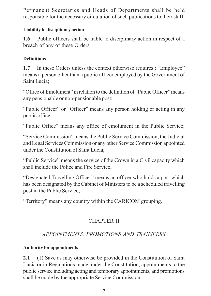Permanent Secretaries and Heads of Departments shall be held responsible for the necessary circulation of such publications to their staff.

#### **Liability to disciplinary action**

**1.6** Public officers shall be liable to disciplinary action in respect of a breach of any of these Orders.

## **Definitions**

**1.7** In these Orders unless the context otherwise requires : "Employee" means a person other than a public officer employed by the Government of Saint Lucia;

"Office of Emolument" in relation to the definition of "Public Officer" means any pensionable or non-pensionable post;

"Public Officer" or "Officer" means any person holding or acting in any public office;

"Public Office" means any office of emolument in the Public Service;

"Service Commission" means the Public Service Commission, the Judicial and Legal Services Commission or any other Service Commission appointed under the Constitution of Saint Lucia;

"Public Service" means the service of the Crown in a Civil capacity which shall include the Police and Fire Service;

"Designated Travelling Officer" means an officer who holds a post which has been designated by the Cabinet of Ministers to be a scheduled travelling post in the Public Service;

"Territory" means any country within the CARICOM grouping.

# CHAPTER II

# *APPOINTMENTS, PROMOTIONS AND TRANSFERS*

#### **Authority for appointments**

**2.1** (1) Save as may otherwise be provided in the Constitution of Saint Lucia or in Regulations made under the Constitution, appointments to the public service including acting and temporary appointments, and promotions shall be made by the appropriate Service Commission.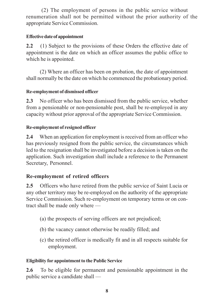(2) The employment of persons in the public service without renumeration shall not be permitted without the prior authority of the appropriate Service Commission.

#### **Effective date of appointment**

**2.2** (1) Subject to the provisions of these Orders the effective date of appointment is the date on which an officer assumes the public office to which he is appointed.

(2) Where an officer has been on probation, the date of appointment shall normally be the date on which he commenced the probationary period.

#### **Re-employment of dismissed officer**

**2.3** No officer who has been dismissed from the public service, whether from a pensionable or non-pensionable post, shall be re-employed in any capacity without prior approval of the appropriate Service Commission.

#### **Re-employment of resigned officer**

**2.4** When an application for employment is received from an officer who has previously resigned from the public service, the circumstances which led to the resignation shall be investigated before a decision is taken on the application. Such investigation shall include a reference to the Permanent Secretary, Personnel.

# **Re-employment of retired officers**

**2.5** Officers who have retired from the public service of Saint Lucia or any other territory may be re-employed on the authority of the appropriate Service Commission. Such re-employment on temporary terms or on contract shall be made only where —

- (a) the prospects of serving officers are not prejudiced;
- (b) the vacancy cannot otherwise be readily filled; and
- (c) the retired officer is medically fit and in all respects suitable for employment.

#### **Eligibility for appointment to the Public Service**

**2.6** To be eligible for permanent and pensionable appointment in the public service a candidate shall —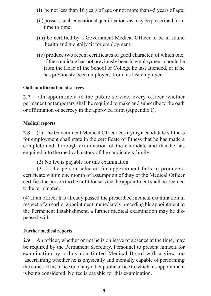- (i) be not less than 16 years of age or not more than 45 years of age;
- (ii) possess such educational qualifications as may be prescribed from time to time;
- (iii) be certified by a Government Medical Officer to be in sound health and mentally fit for employment;
- (iv) produce two recent certificates of good character, of which one, if the candidate has not previously been in employment, should be from the Head of the School or College he last attended, or if he has previously been employed, from his last employer.

## **Oath or affirmation of secrecy**

**2.7** On appointment to the public service, every officer whether permanent or temporary shall be required to make and subscribe to the oath or affirmation of secrecy in the approved form (Appendix I).

#### **Medical reports**

**2.8** (1) The Government Medical Officer certifying a candidate's fitness for employment shall state in the certificate of fitness that he has made a complete and thorough examination of the candidate and that he has enquired into the medical history of the candidate's family.

(2) No fee is payable for this examination.

(3) If the person selected for appointment fails to produce a certificate within one month of assumption of duty or the Medical Officer certifies the person too be unfit for service the appointment shall be deemed to be terminated.

(4) If an officer has already passed the prescribed medical examination in respect of an earlier appointment immediately preceding his appointment to the Permanent Establishment, a further medical examination may be dispensed with.

#### **Further medical reports**

**2.9** An officer, whether or not he is on leave of absence at the time, may be required by the Permanent Secretary, Personnel to present himself for examination by a duly constituted Medical Board with a view too ascertaining whether he is physically and mentally capable of performing the duties of his office or of any other public office to which his appointment is being considered. No fee is payable for this examination.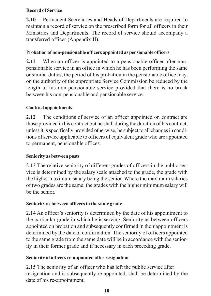## **Record of Service**

**2.10** Permanent Secretaries and Heads of Departments are required to maintain a record of service on the prescribed form for all officers in their Ministries and Departments. The record of service should accompany a transferred officer (Appendix II).

# **Probation of non-pensionable officers appointed as pensionable officers**

**2.11** When an officer is appointed to a pensionable officer after nonpensionable service in an office in which he has been performing the same or similar duties, the period of his probation in the pensionable office may, on the authority of the appropriate Service Commission be reduced by the length of his non-pensionable service provided that there is no break between his non-pensionable and pensionable service.

# **Contract appointments**

**2.12** The conditions of service of an officer appointed on contract are those provided in his contract but he shall during the duration of his contract, unless it is specifically provided otherwise, be subject to all changes in conditions of service applicable to officers of equivalent grade who are appointed to permanent, pensionable offices.

# **Seniority as between posts**

2.13 The relative seniority of different grades of officers in the public service is determined by the salary scale attached to the grade, the grade with the higher maximum salary being the senior. Where the maximum salaries of two grades are the same, the grades with the higher minimum salary will be the senior.

# **Seniority as between officers in the same grade**

2.14 An officer's seniority is determined by the date of his appointment to the particular grade in which he is serving. Seniority as between officers appointed on probation and subsequently confirmed in their appointment is determined by the date of confirmation. The seniority of officers appointed to the same grade from the same date will be in accordance with the seniority in their former grade and if necessary in each preceding grade.

# **Seniority of officers re-appointed after resignation**

2.15 The seniority of an officer who has left the public service after resignation and is subsequently re-appointed, shall be determined by the date of his re-appointment.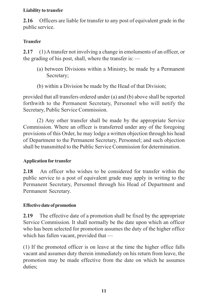#### **Liability to transfer**

**2.16** Officers are liable for transfer to any post of equivalent grade in the public service.

## **Transfer**

**2.17** (1) A transfer not involving a change in emoluments of an officer, or the grading of his post, shall, where the transfer is: —

- (a) between Divisions within a Ministry, be made by a Permanent Secretary;
- (b) within a Division be made by the Head of that Division;

provided that all transfers ordered under (a) and (b) above shall be reported forthwith to the Permanent Secretary, Personnel who will notify the Secretary, Public Service Commission.

(2) Any other transfer shall be made by the appropriate Service Commission. Where an officer is transferred under any of the foregoing provisions of this Order, he may lodge a written objection through his head of Department to the Permanent Secretary, Personnel; and such objection shall be transmitted to the Public Service Commission for determination.

# **Application for transfer**

**2.18** An officer who wishes to be considered for transfer within the public service to a post of equivalent grade may apply in writing to the Permanent Secretary, Personnel through his Head of Department and Permanent Secretary.

# **Effective date of promotion**

**2.19** The effective date of a promotion shall be fixed by the appropriate Service Commission. It shall normally be the date upon which an officer who has been selected for promotion assumes the duty of the higher office which has fallen vacant, provided that —

(1) If the promoted officer is on leave at the time the higher office falls vacant and assumes duty therein immediately on his return from leave, the promotion may be made effective from the date on which he assumes duties;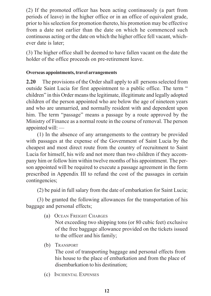(2) If the promoted officer has been acting continuously (a part from periods of leave) in the higher office or in an office of equivalent grade, prior to his selection for promotion thereto, his promotion may be effective from a date not earlier than the date on which he commenced such continuous acting or the date on which the higher office fell vacant, whichever date is later;

(3) The higher office shall be deemed to have fallen vacant on the date the holder of the office proceeds on pre-retirement leave.

#### **Overseas appointments, travel arrangements**

**2.20** The provisions of the Order shall apply to all persons selected from outside Saint Lucia for first appointment to a public office. The term " children" in this Order means the legitimate, illegitimate and legally adopted children of the person appointed who are below the age of nineteen years and who are unmarried, and normally resident with and dependent upon him. The term "passage" means a passage by a route approved by the Ministry of Finance as a normal route in the course of removal. The person appointed will: —

(1) In the absence of any arrangements to the contrary be provided with passages at the expense of the Government of Saint Lucia by the cheapest and most direct route from the country of recruitment to Saint Lucia for himself, his wife and not more than two children if they accompany him or follow him within twelve months of his appointment. The person appointed will be required to execute a passage agreement in the form prescribed in Appendix III to refund the cost of the passages in certain contingencies;

(2) be paid in full salary from the date of embarkation for Saint Lucia;

(3) be granted the following allowances for the transportation of his baggage and personal effects;

(a) OCEAN FREIGHT CHARGES

Not exceeding two shipping tons (or 80 cubic feet) exclusive of the free baggage allowance provided on the tickets issued to the officer and his family;

(b) TRANSPORT

The cost of transporting baggage and personal effects from his house to the place of embarkation and from the place of disembarkation to his destination;

(c) INCIDENTAL EXPENSES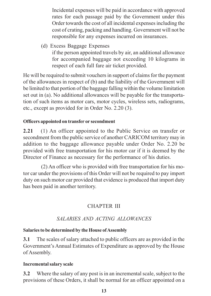Incidental expenses will be paid in accordance with approved rates for each passage paid by the Government under this Order towards the cost of all incidental expenses including the cost of crating, packing and handling. Government will not be responsible for any expenses incurred on insurances.

(d) Excess Baggage Expenses

if the person appointed travels by air, an additional allowance for accompanied baggage not exceeding 10 kilograms in respect of each full fare air ticket provided.

He will be required to submit vouchers in support of claims for the payment of the allowances in respect of (b) and the liability of the Government will be limited to that portion of the baggage falling within the volume limitation set out in (a). No additional allowances will be payable for the transportation of such items as motor cars, motor cycles, wireless sets, radiograms, etc., except as provided for in Order No. 2.20 (3).

#### **Officers appointed on transfer or secondment**

**2.21** (1) An officer appointed to the Public Service on transfer or secondment from the public service of another CARICOM territory may in addition to the baggage allowance payable under Order No. 2.20 be provided with free transportation for his motor car if it is deemed by the Director of Finance as necessary for the performance of his duties.

(2) An officer who is provided with free transportation for his motor car under the provisions of this Order will not be required to pay import duty on such motor car provided that evidence is produced that import duty has been paid in another territory.

# CHAPTER III

# *SALARIES AND ACTING ALLOWANCES*

# **Salaries to be determined by the House of Assembly**

**3.1** The scales of salary attached to public officers are as provided in the Government's Annual Estimates of Expenditure as approved by the House of Assembly.

#### **Incremental salary scale**

**3.2** Where the salary of any post is in an incremental scale, subject to the provisions of these Orders, it shall be normal for an officer appointed on a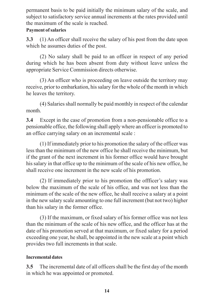permanent basis to be paid initially the minimum salary of the scale, and subject to satisfactory service annual increments at the rates provided until the maximum of the scale is reached.

## **Payment of salaries**

**3.3** (1) An officer shall receive the salary of his post from the date upon which he assumes duties of the post.

(2) No salary shall be paid to an officer in respect of any period during which he has been absent from duty without leave unless the appropriate Service Commission directs otherwise.

(3) An officer who is proceeding on leave outside the territory may receive, prior to embarkation, his salary for the whole of the month in which he leaves the territory.

(4) Salaries shall normally be paid monthly in respect of the calendar month.

**3.4** Except in the case of promotion from a non-pensionable office to a pensionable office, the following shall apply where an officer is promoted to an office carrying salary on an incremental scale :

(1) If immediately prior to his promotion the salary of the officer was less than the minimum of the new office he shall receive the minimum, but if the grant of the next increment in his former office would have brought his salary in that office up to the minimum of the scale of his new office, he shall receive one increment in the new scale of his promotion.

(2) If immediately prior to his promotion the offficer's salary was below the maximum of the scale of his office, and was not less than the minimum of the scale of the new office, he shall receive a salary at a point in the new salary scale amounting to one full increment (but not two) higher than his salary in the former office.

(3) If the maximum, or fixed salary of his former office was not less than the minimum of the scale of his new office, and the officer has at the date of his promotion served at that maximum, or fixed salary for a period exceeding one year, he shall, be appointed in the new scale at a point which provides two full increments in that scale.

# **Incremental dates**

**3.5** The incremental date of all officers shall be the first day of the month in which he was appointed or promoted.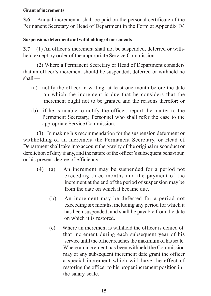#### **Grant of increments**

**3.6** Annual incremental shall be paid on the personal certificate of the Permanent Secretary or Head of Department in the Form at Appendix IV.

#### **Suspension, deferment and withholding of increments**

**3.7** (1) An officer's increment shall not be suspended, deferred or withheld except by order of the appropriate Service Commission.

(2) Where a Permanent Secretary or Head of Department considers that an officer's increment should be suspended, deferred or withheld he shall —

- (a) notify the officer in writing, at least one month before the date on which the increment is due that he considers that the increment ought not to be granted and the reasons therefor; or
- (b) if he is unable to notify the officer, report the matter to the Permanent Secretary, Personnel who shall refer the case to the appropriate Service Commission.

(3) In making his recommendation for the suspension deferment or withholding of an increment the Permanent Secretary, or Head of Department shall take into account the gravity of the original misconduct or dereliction of duty if any, and the nature of the officer's subsequent behaviour, or his present degree of efficiency.

- (4) (a) An increment may be suspended for a period not exceeding three months and the payment of the increment at the end of the period of suspension may be from the date on which it became due.
	- (b) An increment may be deferred for a period not exceeding six months, including any period for which it has been suspended, and shall be payable from the date on which it is restored.
	- (c) Where an increment is withheld the officer is denied of that increment during each subsequent year of his service until the officer reaches the maximum of his scale. Where an increment has been withheld the Commission may at any subsequent increment date grant the officer a special increment which will have the effect of restoring the officer to his proper increment position in the salary scale.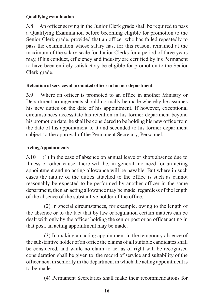#### **Qualifying examination**

**3.8** An officer serving in the Junior Clerk grade shall be required to pass a Qualifying Examination before becoming eligible for promotion to the Senior Clerk grade, provided that an officer who has failed repeatedly to pass the examination whose salary has, for this reason, remained at the maximum of the salary scale for Junior Clerks for a period of three years may, if his conduct, efficiency and industry are certified by his Permanent to have been entirely satisfactory be eligible for promotion to the Senior Clerk grade.

#### **Retention of services of promoted officer in former department**

**3.9** Where an officer is promoted to an office in another Ministry or Department arrangements should normally be made whereby he assumes his new duties on the date of his appointment. If however, exceptional circumstances necessitate his retention in his former department beyond his promotion date, he shall be considered to be holding his new office from the date of his appointment to it and seconded to his former department subject to the approval of the Permanent Secretary, Personnel.

# **Acting Appointments**

**3.10** (1) In the case of absence on annual leave or short absence due to illness or other cause, there will be, in general, no need for an acting appointment and no acting allowance will be payable. But where in such cases the nature of the duties attached to the office is such as cannot reasonably be expected to be performed by another officer in the same department, then an acting allowance may be made, regardless of the length of the absence of the substantive holder of the office.

(2) In special circumstances, for example, owing to the length of the absence or to the fact that by law or regulation certain matters can be dealt with only by the officer holding the senior post or an officer acting in that post, an acting appointment may be made.

(3) In making an acting appointment in the temporary absence of the substantive holder of an office the claims of all suitable candidates shall be considered, and while no claim to act as of right will be recognised consideration shall be given to the record of service and suitability of the officer next in seniority in the department in which the acting appointment is to be made.

(4) Permanent Secretaries shall make their recommendations for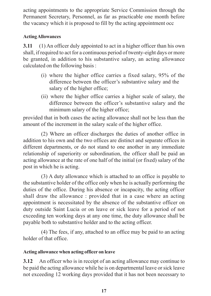acting appointments to the appropriate Service Commission through the Permanent Secretary, Personnel, as far as practicable one month before the vacancy which it is proposed to fill by the acting appointment occ

# **Acting Allowances**

**3.11** (1) An officer duly appointed to act in a higher officer than his own shall, if required to act for a continuous period of twenty-eight days or more be granted, in addition to his substantive salary, an acting allowance calculated on the following basis :

- (i) where the higher office carries a fixed salary, 95% of the difference between the officer's substantive salary and the salary of the higher office;
- (ii) where the higher office carries a higher scale of salary, the difference between the officer's substantive salary and the minimum salary of the higher office;

provided that in both cases the acting allowance shall not be less than the amount of the increment in the salary scale of the higher office.

(2) Where an officer discharges the duties of another office in addition to his own and the two offices are distinct and separate offices in different departments, or do not stand to one another in any immediate relationship of superiority or subordination, the officer shall be paid an acting allowance at the rate of one half of the initial (or fixed) salary of the post in which he is acting.

(3) A duty allowance which is attached to an office is payable to the substantive holder of the office only when he is actually performing the duties of the office. During his absence or incapacity, the acting officer shall draw the allowance : provided that in a case where an acting appointment is necessitated by the absence of the substantive officer on duty outside Saint Lucia or on leave or sick leave for a period of not exceeding ten working days at any one time, the duty allowance shall be payable both to substantive holder and to the acting officer.

(4) The fees, if any, attached to an office may be paid to an acting holder of that office.

# **Acting allowance when acting officer on leave**

**3.12** An officer who is in receipt of an acting allowance may continue to be paid the acting allowance while he is on departmental leave or sick leave not exceeding 12 working days provided that it has not been necessary to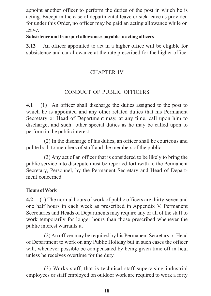appoint another officer to perform the duties of the post in which he is acting. Except in the case of departmental leave or sick leave as provided for under this Order, no officer may be paid an acting allowance while on leave.

#### **Subsistence and transport allowances payable to acting officers**

**3.13** An officer appointed to act in a higher office will be eligible for subsistence and car allowance at the rate prescribed for the higher office.

# CHAPTER IV

# CONDUCT OF PUBLIC OFFICERS

**4.1** (1) An officer shall discharge the duties assigned to the post to which he is appointed and any other related duties that his Permanent Secretary or Head of Department may, at any time, call upon him to discharge, and such other special duties as he may be called upon to perform in the public interest.

(2) In the discharge of his duties, an officer shall be courteous and polite both to members of staff and the members of the public.

(3) Any act of an officer that is considered to be likely to bring the public service into disrepute must be reported forthwith to the Permanent Secretary, Personnel, by the Permanent Secretary and Head of Department concerned.

#### **Hours of Work**

**4.2** (1) The normal hours of work of public officers are thirty-seven and one half hours in each week as prescribed in Appendix V. Permanent Secretaries and Heads of Departments may require any or all of the staff to work temporarily for longer hours than those prescribed whenever the public interest warrants it.

(2) An officer may be required by his Permanent Secretary or Head of Department to work on any Public Holiday but in such cases the officer will, whenever possible be compensated by being given time off in lieu, unless he receives overtime for the duty.

(3) Works staff, that is technical staff supervising industrial employees or staff employed on outdoor work are required to work a forty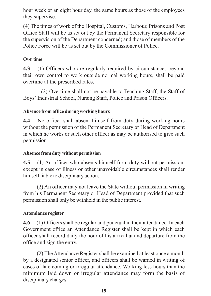hour week or an eight hour day, the same hours as those of the employees they supervise.

(4) The times of work of the Hospital, Customs, Harbour, Prisons and Post Office Staff will be as set out by the Permanent Secretary responsible for the supervision of the Department concerned; and those of members of the Police Force will be as set out by the Commissioner of Police.

## **Overtime**

**4.3** (1) Officers who are regularly required by circumstances beyond their own control to work outside normal working hours, shall be paid overtime at the prescribed rates.

(2) Overtime shall not be payable to Teaching Staff, the Staff of Boys' Industrial School, Nursing Staff, Police and Prison Officers.

#### **Absence from office during working hours**

**4.4** No officer shall absent himself from duty during working hours without the permission of the Permanent Secretary or Head of Department in which he works or such other officer as may be authorised to give such permission.

#### **Absence from duty without permission**

**4.5** (1) An officer who absents himself from duty without permission, except in case of illness or other unavoidable circumstances shall render himself liable to disciplinary action.

(2) An officer may not leave the State without permission in writing from his Permanent Secretary or Head of Department provided that such permission shall only be withheld in the public interest.

#### **Attendance register**

**4.6** (1) Officers shall be regular and punctual in their attendance. In each Government office an Attendance Register shall be kept in which each officer shall record daily the hour of his arrival at and departure from the office and sign the entry.

(2) The Attendance Register shall be examined at least once a month by a designated senior officer, and officers shall be warned in writing of cases of late coming or irregular attendance. Working less hours than the minimum laid down or irregular attendance may form the basis of disciplinary charges.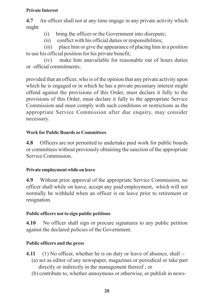#### **Private Interest**

**4.7** An officer shall not at any time engage in any private activity which might:

- (i) bring the officer or the Government into disrepute;
- (ii) conflict with his official duties or responsibilities;

(iii) place him or give the appearance of placing him in a position to use his official position for his private benefit;

(iv) make him unavailable for reasonable out of hours duties or official commitments;

provided that an officer, who is of the opinion that any private activity upon which he is engaged or in which he has a private pecuniary interest might offend against the provisions of this Order, must declare it fully to the provisions of this Order, must declare it fully to the appropriate Service Commission and must comply with such conditions or restrictions as the appropriate Service Commission after due enquiry, may consider necessary.

# **Work for Public Boards or Committees**

**4.8** Officers are not permitted to undertake paid work for public boards or committees without previously obtaining the sanction of the appropriate Service Commission.

# **Private employment while on leave**

**4.9** Without prior approval of the appropriate Service Commission, no officer shall while on leave, accept any paid employment, which will not normally be withheld when an officer is on leave prior to retirement or resignation.

# **Public officers not to sign public petitions**

**4.10** No officer shall sign or procure signatures to any public petition against the declared policies of the Government.

# **Public officers and the press**

- **4.11** (1) No officer, whether he is on duty or leave of absence, shall :-
	- (a) act as editor of any newspaper, magazines or periodical or take part directly or indirectly in the management thereof ; or
	- (b) contribute to, whether annoymous or otherwise, or publish in news-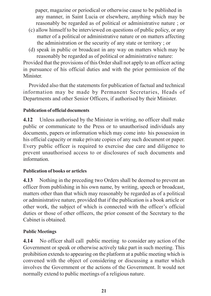paper, magazine or periodical or otherwise cause to be published in any manner, in Saint Lucia or elsewhere, anything which may be reasonably be regarded as of political or administrative nature ; or

- (c) allow himself to be interviewed on questions of public policy, or any matter of a political or administrative nature or on matters affecting the administration or the security of any state or territory ; or
- (d) speak in public or broadcast in any way on matters which may be reasonably be regarded as of political or administrative nature:

Provided that the provisions of this Order shall not apply to an officer acting in pursuance of his official duties and with the prior permission of the Minister.

Provided also that the statements for publication of factual and technical information may be made by Permanent Secretaries, Heads of Departments and other Senior Officers, if authorised by their Minister.

#### **Publication of official documents**

**4.12** Unless authorised by the Minister in writing, no officer shall make public or communicate to the Press or to unauthorised individuals any documents, papers or information which may come into his possession in his official capacity or make private copies of any such document or paper. Every public officer is required to exercise due care and diligence to prevent unauthorised access to or disclosures of such documents and information.

#### **Publication of books or articles**

**4.13** Nothing in the preceding two Orders shall be deemed to prevent an officer from publishing in his own name, by writing, speech or broadcast, matters other than that which may reasonably be regarded as of a political or administrative nature, provided that if the publication is a book article or other work, the subject of which is connected with the officer's official duties or those of other officers, the prior consent of the Secretary to the Cabinet is obtained.

#### **Public Meetings**

**4.14** No officer shall call public meeting to consider any action of the Government or speak or otherwise actively take part in such meeting. This prohibition extends to appearing on the platform at a public meeting which is convened with the object of considering or discussing a matter which involves the Government or the actions of the Government. It would not normally extend to public meetings of a religious nature.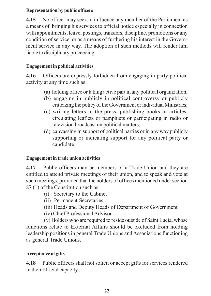#### **Representation by public officers**

**4.15** No officer may seek to influence any member of the Parliament as a means of bringing his services to official notice especially in connection with appointments, leave, postings, transfers, discipline, promotions or any condition of service, or as a means of furthering his interest in the Government service in any way. The adoption of such methods will render him liable to disciplinary proceeding.

## **Engagement in political activities**

**4.16** Officers are expressly forbidden from engaging in party political activity at any time such as:

- (a) holding office or taking active part in any political organization;
- (b) engaging in publicly in political controversy or publicly criticizing the policy of the Government or individual Ministries;
- (c) writing letters to the press, publishing books or articles, circulating leaflets or pamphlets or participating in radio or television broadcast on political matters;
- (d) canvassing in support of political parties or in any way publicly supporting or indicating support for any political party or candidate.

#### **Engagement in trade union activities**

**4.17** Public officers may be members of a Trade Union and they are entitled to attend private meetings of their union, and to speak and vote at such meetings; provided that the holders of offices mentioned under section 87 (1) of the Constitution such as:

- (i) Secretary to the Cabinet
- (ii) Permanent Secretaries
- (iii) Heads and Deputy Heads of Department of Government
- (iv) Chief Professional Advisor

(v) Holders who are required to reside outside of Saint Lucia, whose functions relate to External Affairs should be excluded from holding leadership positions in general Trade Unions and Associations functioning as general Trade Unions.

#### **Acceptance of gifts**

**4.18** Public officers shall not solicit or accept gifts for services rendered in their official capacity .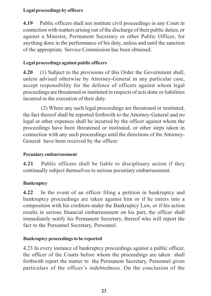#### **Legal proceedings by officers**

**4.19** Public officers shall not institute civil proceedings in any Court in connection with matters arising out of the discharge of their public duties, or against a Minister, Permanent Secretary or other Public Officer, for anything done in the performance of his duty, unless and until the sanction of the appropriate Service Commission has been obtained.

## **Legal proceedings against public officers**

**4.20** (1) Subject to the provisions of this Order the Government shall, unless advised otherwise by Attorney-General in any particular case, accept responsibility for the defence of officers against whom legal proceedings are threatened or instituted in respects of acts done or liabilities incurred in the execution of their duty.

(2) Where any such legal proceedings are threatened or instituted, the fact thereof shall be reported forthwith to the Attorney-General and no legal or other expenses shall be incurred by the officer against whom the proceedings have been threatened or instituted, or other steps taken in connection with any such proceedings until the directions of the Attorney-General have been received by the officer.

#### **Pecuniary embarrassment**

**4.21** Public officers shall be liable to disciplinary action if they continually subject themselves to serious pecuniary embarrassment.

# **Bankruptcy**

**4.22** In the event of an officer filing a petition in bankruptcy and bankruptcy proceedings are taken against him or if he enters into a composition with his creditors under the Bankruptcy Law, or if his action results in serious financial embarrassment on his part, the officer shall immediately notify his Permanent Secretary, thereof who will report the fact to the Personnel Secretary, Personnel.

# **Bankruptcy proceedings to be reported**

4.23 In every instance of bankruptcy proceedings against a public officer, the officer of the Courts before whom the proceedings are taken shall forthwith report the matter to the Permanent Secretary, Personnel given particulars of the officer's indebtedness. On the conclusion of the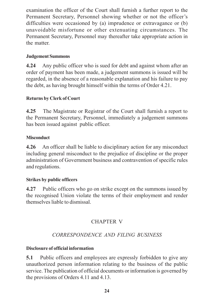examination the officer of the Court shall furnish a further report to the Permanent Secretary, Personnel showing whether or not the officer's difficulties were occasioned by (a) imprudence or extravagance or (b) unavoidable misfortune or other extenuating circumstances. The Permanent Secretary, Personnel may thereafter take appropriate action in the matter.

## **Judgement Summons**

**4.24** Any public officer who is sued for debt and against whom after an order of payment has been made, a judgement summons is issued will be regarded, in the absence of a reasonable explanation and his failure to pay the debt, as having brought himself within the terms of Order 4.21.

# **Returns by Clerk of Court**

**4.25** The Magistrate or Registrar of the Court shall furnish a report to the Permanent Secretary, Personnel, immediately a judgement summons has been issued against public officer.

## **Misconduct**

**4.26** An officer shall be liable to disciplinary action for any misconduct including general misconduct to the prejudice of discipline or the proper administration of Government business and contravention of specific rules and regulations.

# **Strikes by public officers**

**4.27** Public officers who go on strike except on the summons issued by the recognised Union violate the terms of their employment and render themselves liable to dismissal.

# CHAPTER V

# *CORRESPONDENCE AND FILING BUSINESS*

#### **Disclosure of official information**

**5.1** Public officers and employees are expressly forbidden to give any unauthorized person information relating to the business of the public service. The publication of official documents or information is governed by the provisions of Orders 4.11 and 4.13.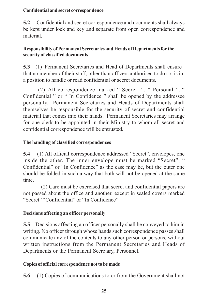#### **Confidential and secret correspondence**

**5.2** Confidential and secret correspondence and documents shall always be kept under lock and key and separate from open correspondence and material.

#### **Responsibility of Permanent Secretaries and Heads of Departments for the security of classified documents**

**5.3** (1) Permanent Secretaries and Head of Departments shall ensure that no member of their staff, other than officers authorised to do so, is in a position to handle or read confidential or secret documents.

 (2) All correspondence marked " Secret " , " Personal ", " Confidential " or " In Confidence " shall be opened by the addressee personally. Permanent Secretaries and Heads of Departments shall themselves be responsible for the security of secret and confidential material that comes into their hands. Permanent Secretaries may arrange for one clerk to be appointed in their Ministry to whom all secret and confidential correspondence will be entrusted.

#### **The handling of classified correspondences**

**5.4** (1) All official correspondence addressed "Secret", envelopes, one inside the other. The inner envelope must be marked "Secret", " Confidential" or "In Confidence" as the case may be, but the outer one should be folded in such a way that both will not be opened at the same time.

(2) Care must be exercised that secret and confidential papers are not passed about the office and another, except in sealed covers marked "Secret" "Confidential" or "In Confidence".

#### **Decisions affecting an officer personally**

**5.5** Decisions affecting an officer personally shall be conveyed to him in writing. No officer through whose hands such correspondence passes shall communicate any of the contents to any other person or persons, without written instructions from the Permanent Secretaries and Heads of Departments or the Permanent Secretary, Personnel.

#### **Copies of official correspondence not to be made**

**5.6** (1) Copies of communications to or from the Government shall not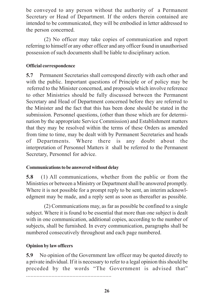be conveyed to any person without the authority of a Permanent Secretary or Head of Department. If the orders therein contained are intended to be communicated, they will be embodied in letter addressed to the person concerned.

(2) No officer may take copies of communication and report referring to himself or any other officer and any officer found in unauthorised possession of such documents shall be liable to disciplinary action.

#### **Official correspondence**

**5.7** Permanent Secretaries shall correspond directly with each other and with the public. Important questions of Principle or of policy may be referred to the Minister concerned, and proposals which involve reference to other Ministries should be fully discussed between the Permanent Secretary and Head of Department concerned before they are referred to the Minister and the fact that this has been done should be stated in the submission. Personnel questions, (other than those which are for determination by the appropriate Service Commission) and Establishment matters that they may be resolved within the terms of these Orders as amended from time to time, may be dealt with by Permanent Secretaries and heads of Departments. Where there is any doubt about the interpretation of Personnel Matters it shall be referred to the Permanent Secretary, Personnel for advice.

#### **Communications to be answered without delay**

**5.8** (1) All communications, whether from the public or from the Ministries or between a Ministry or Department shall be answered promptly. Where it is not possible for a prompt reply to be sent, an interim acknowledgment may be made, and a reply sent as soon as thereafter as possible.

(2) Communications may, as far as possible be confined to a single subject. Where it is found to be essential that more than one subject is dealt with in one communication, additional copies, according to the number of subjects, shall be furnished. In every communication, paragraphs shall be numbered consecutively throughout and each page numbered.

#### **Opinion by law officers**

**5.9** No opinion of the Government law officer may be quoted directly to a private individual. If it is necessary to refer to a legal opinion this should be preceded by the words "The Government is advised that"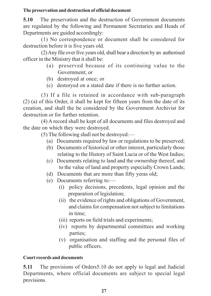#### **The preservation and destruction of official document**

**5.10** The preservation and the destruction of Government documents are regulated by the following and Permanent Secretaries and Heads of Departments are guided accordingly:

(1) No correspondence or document shall be considered for destruction before it is five years old.

(2) Any file over five years old, shall bear a direction by an authorised officer in the Ministry that it shall be:

- (a) preserved because of its continuing value to the Government; or
- (b) destroyed at once; or
- (c) destoryed on a stated date if there is no further action.

(3) If a file is retained in accordance with sub-paragraph (2) (a) of this Order, it shall be kept for fifteen years from the date of its creation, and shall the be considered by the Government Archivist for destruction or for further retention.

(4) A record shall be kept of all documents and files destroyed and the date on which they were destroyed.

(5) The following shall not be destroyed:—

- (a) Documents required by law or regulations to be preserved;
- (b) Documents of historical or other interest, particularly those relating to the History of Saint Lucia or of the West Indies;
- (c) Documents relating to land and the ownership thereof, and to the value of land and property especially Crown Lands;
- (d) Documents that are more than fifty yeras old;
- (e) Documents referring to:—
	- (i) policy decisions, precedents, legal opinion and the preparation of legislation;
	- (ii) the evidence of rights and obligations of Government, and claims for compensation not subject to limitations in time;
	- (iii) reports on field trials and experiments;
	- (iv) reports by departmental committees and working parties;
	- (v) organisation and staffing and the personal files of public officers.

# **Court records and documents**

**5.11** The provisions of Orders5.10 do not apply to legal and Judicial Departments, where official documents are subject to special legal provisions.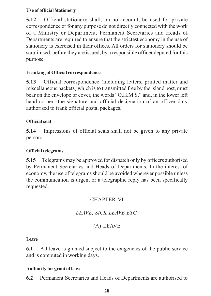#### **Use of official Stationery**

**5.12** Official stationery shall, on no account, be used for private correspondence or for any purpose do not directly connected with the work of a Ministry or Department. Permanent Secretaries and Heads of Departments are required to ensure that the strictest economy in the use of stationery is exercised in their offices. All orders for stationery should be scrutinised, before they are issued, by a responsible officer deputed for this purpose.

# **Franking of Official correspondence**

**5.13** Official correspondence (including letters, printed matter and miscellaneous packets) which is to transmitted free by the island post, must bear on the envelope or cover, the words "O.H.M.S." and, in the lower left hand corner the signature and official designation of an officer duly authorised to frank official postal packages.

# **Official seal**

**5.14** Impressions of official seals shall not be given to any private person.

# **Official telegrams**

**5.15** Telegrams may be approved for dispatch only by officers authorised by Permanent Secretaries and Heads of Departments. In the interest of economy, the use of telegrams should be avoided wherever possible unless the communication is urgent or a telegraphic reply has been specifically requested.

# CHAPTER VI

# *LEAVE, SICK LEAVE ETC.*

# (A) LEAVE

#### **Leave**

**6.1** All leave is granted subject to the exigencies of the public service and is computed in working days.

#### **Authority for grant of leave**

**6.2** Permanent Secretaries and Heads of Departments are authorised to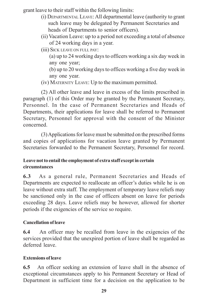grant leave to their staff within the following limits:

- (i) DEPARTMENTAL LEAVE: All departmental leave (authority to grant such leave may be delegated by Permanent Secretaries and heads of Departments to senior officers).
- (ii) Vacation Leave: up to a period not exceeding a total of absence of 24 working days in a year.
- (iii) SICK LEAVE ON FULL PAY:
	- (a) up to 24 working days to officers working a six day week in any one year;
	- (b) up to 20 working days to offices working a five day week in any one year.
- (iv) MATERNITY LEAVE: Up to the maximum permitted.

(2) All other leave and leave in excess of the limits prescribed in paragraph (1) of this Order may be granted by the Permanent Secretary, Personnel. In the case of Permanent Secretaries and Heads of Departments, their applications for leave shall be referred to Permanent Secretary, Personnel for approval with the consent of the Minister concerned.

(3) Applications for leave must be submitted on the prescribed forms and copies of applications for vacation leave granted by Permanent Secretaries forwarded to the Permanent Secretary, Personnel for record.

## **Leave not to entail the employment of extra staff except in certain circumstances**

**6.3** As a general rule, Permanent Secretaries and Heads of Departments are expected to reallocate an officer's duties while he is on leave without extra staff. The employment of temporary leave reliefs may be sanctioned only in the case of officers absent on leave for periods exceeding 28 days. Leave reliefs may be however, allowed for shorter periods if the exigencies of the service so require.

#### **Cancellation of leave**

**6.4** An officer may be recalled from leave in the exigencies of the services provided that the unexpired portion of leave shall be regarded as deferred leave.

#### **Extensions of leave**

**6.5** An officer seeking an extension of leave shall in the absence of exceptional circumstances apply to his Permanent Secretary or Head of Department in sufficient time for a decision on the application to be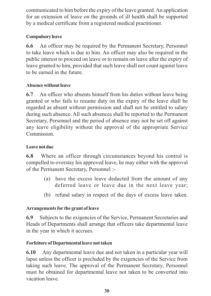communicated to him before the expiry of the leave granted. An application for an extension of leave on the grounds of ill health shall be supported by a medical certificate from a registered medical practitioner.

# **Compulsory leave**

**6.6** An officer may be required by the Permanent Secretary, Personnel to take leave which is due to him. An officer may also be required in the public interest to proceed on leave or to remain on leave after the expiry of leave granted to him, provided that such leave shall not count against leave to be earned in the future.

# **Absence without leave**

**6.7** An officer who absents himself from his duties without leave being granted or who fails to resume duty on the expiry of the leave shall be regarded as absent without permission and shall not be entitled to salary during such absence. All such absences shall be reported to the Permanent Secretary, Personnel and the period of absence may not be set off against any leave eligibility without the approval of the appropriate Service **Commission** 

# **Leave not due**

**6.8** Where an officer through circumstances beyond his control is compelled to overstay his approved leave, he may either with the approval of the Permanent Secretary, Personnel :-

- (a) have the excess leave deducted from the amount of any deferred leave or leave due in the next leave year;
- (b) refund salary in respect of the days of excess leave taken.

# **Arrangements for the grant of leave**

**6.9** Subjects to the exigencies of the Service, Permanent Secretaries and Heads of Departments shall arrange that officers take departmental leave in the year in which it accrues.

# **Forfeiture of Departmental leave not taken**

**6.10** Any departmental leave due and not taken in a particular year will lapse unless the officer is precluded by the exigencies of the Service from taking such leave. The approval of the Permanent Secretary, Personnel must be obtained for departmental leave not taken to be converted into vacation leave.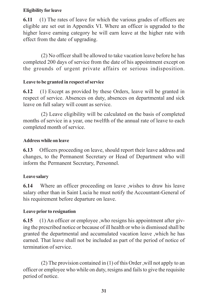#### **Eligibility for leave**

**6.11** (1) The rates of leave for which the various grades of officers are eligible are set out in Appendix VI. Where an officer is upgraded to the higher leave earning category he will earn leave at the higher rate with effect from the date of upgrading.

(2) No officer shall be allowed to take vacation leave before he has completed 200 days of service from the date of his appointment except on the grounds of urgent private affairs or serious indisposition.

# **Leave to be granted in respect of service**

**6.12** (1) Except as provided by these Orders, leave will be granted in respect of service. Absences on duty, absences on departmental and sick leave on full salary will count as service.

(2) Leave eligibility will be calculated on the basis of completed months of service in a year, one twelfth of the annual rate of leave to each completed month of service.

# **Address while on leave**

**6.13** Officers proceeding on leave, should report their leave address and changes, to the Permanent Secretary or Head of Department who will inform the Permanent Secretary, Personnel.

# **Leave salary**

**6.14** Where an officer proceeding on leave ,wishes to draw his leave salary other than in Saint Lucia he must notify the Accountant-General of his requirement before departure on leave.

# **Leave prior to resignation**

**6.15** (1) An officer or employee ,who resigns his appointment after giving the prescribed notice or because of ill health or who is dismissed shall be granted the departmental and accumulated vacation leave ,which he has earned. That leave shall not be included as part of the period of notice of termination of service.

(2) The provision contained in (1) of this Order ,will not apply to an officer or employee who while on duty, resigns and fails to give the requisite period of notice.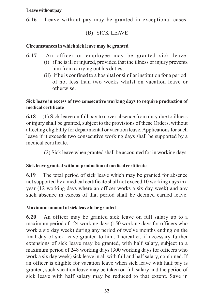#### **Leave without pay**

**6.16** Leave without pay may be granted in exceptional cases.

# (B) SICK LEAVE

#### **Circumstances in which sick leave may be granted**

- **6.17** An officer or employee may be granted sick leave:
	- (i) if he is ill or injured, provided that the illness or injury prevents him from carrying out his duties;
	- (ii) if he is confined to a hospital or similar institution for a period of not less than two weeks whilst on vacation leave or otherwise.

#### **Sick leave in excess of two consecutive working days to require production of medical certificate**

**6.18** (1) Sick leave on full pay to cover absence from duty due to illness or injury shall be granted, subject to the provisions of these Orders, without affecting eligibility for departmental or vacation leave. Applications for such leave if it exceeds two consecutive working days shall be supported by a medical certificate.

(2) Sick leave when granted shall be accounted for in working days.

#### **Sick leave granted without production of medical certificate**

**6.19** The total period of sick leave which may be granted for absence not supported by a medical certificate shall not exceed 10 working days in a year (12 working days where an officer works a six day week) and any such absence in excess of that period shall be deemed earned leave.

#### **Maximum amount of sick leave to be granted**

**6.20** An officer may be granted sick leave on full salary up to a maximum period of 124 working days (150 working days for officers who work a six day week) during any period of twelve months ending on the final day of sick leave granted to him. Thereafter, if necessary further extensions of sick leave may be granted, with half salary, subject to a maximum period of 248 working days (300 working days for officers who work a six day week) sick leave in all with full and half salary, combined. If an officer is eligible for vacation leave when sick leave with half pay is granted, such vacation leave may be taken on full salary and the period of sick leave with half salary may be reduced to that extent. Save in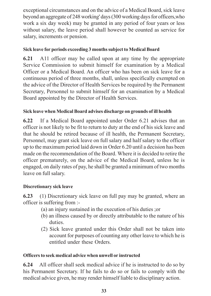exceptional circumstances and on the advice of a Medical Board, sick leave beyond an aggregate of 248 working' days (300 working days for officers,who work a six day week) may be granted in any period of four years or less without salary, the leave period shall however be counted as service for salary, increments or pension.

# **Sick leave for periods exceeding 3 months subject to Medical Board**

**6.21** A11 officer may be called upon at any time by the appropriate Service Commission to submit himself for examination by a Medical Officer or a Medical Board. An officer who has been on sick leave for a continuous period of three months, shall, unless specifically exempted on the advice of the Director of Health Services be required by the Permanent Secretary, Personnel to submit himself for an examination by a Medical Board appointed by the Director of Health Services.

# **Sick leave when Medical Board advises discharge on grounds of ill health**

**6.22** If a Medical Board appointed under Order 6.21 advises that an officer is not likely to be fit to return to duty at the end of his sick leave and that he should be retired because of ill health, the Permanent Secretary, Personnel, may grant sick leave on full salary and half salary to the officer up to the maximum period laid down in Order 6.20 until a decision has been made on the recommendation of the Board. Where it is decided to retire the officer prematurely, on the advice of the Medical Board, unless he is engaged, on daily rates of pay, he shall be granted a minimum of two months leave on full salary.

# **Discretionary sick leave**

**6.23** (1) Discretionary sick leave on full pay may be granted, where an officer is suffering from :-

- (a) an injury sustained in the execution of his duties ;or
- (b) an illness caused by or directly attributable to the nature of his duties.
- (2) Sick leave granted under this Order shall not be taken into account for purposes of counting any other leave to which he is entitled under these Orders.

# **Officers to seek medical advice when unwell or instructed**

**6.24** All officer shall seek medical advice if he is instructed to do so by his Permanent Secretary. If he fails to do so or fails to comply with the medical advice given, he may render himself liable to disciplinary action.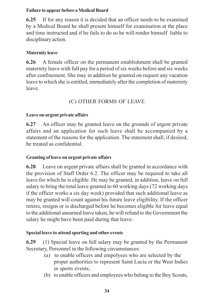#### **Failure to appear before a Medical Board**

**6.25** If for any reason it is decided that an officer needs to be examined by a Medical Board he shall present himself for examination at the place and time instructed and if he fails to do so he will render himself liable to disciplinary action.

# **Maternity leave**

**6.26** A female officer on the permanent establishment shall be granted maternity leave with full pay for a period of six weeks before and six weeks after confinement. She may in addition be granted on request any vacation leave to which she is entitled, immediately after the completion of maternity leave.

# (C) OTHER FORMS OF LEAVE

# **Leave on urgent private affairs**

**6.27** An officer may be granted leave on the grounds of urgent private affairs and an application for such leave shall be accompanied by a statement of the reasons for the application. The statement shall, if desired, be treated as confidential.

# **Granting of leave on urgent private affairs**

**6.28** Leave on urgent private affairs shall be granted in accordance with the provision of Staff Order 6.2. The officer may be required to take all leave for which he is eligible. He may be granted, in addition, leave on full salary to bring the total leave granted to 60 working days (72 working days if the officer works a six day week) provided that such additional leave as may be granted will count against his future leave eligibility. If the officer retires, resigns or is discharged before he becomes eligible for leave equal to the additional unearned leave taken, he will refund to the Government the salary he might have been paid during that leave.

# **Special leave to attend sporting and other events**

**6.29** (1) Special leave on full salary may be granted by the Permanent Secretary, Personnel in the following circumstances:

- (a) to enable officers and empolyees who are selected by the proper authorities to represent Saint Lucia or the West Indies in sports events;
- (b) to enable officers and employees who belong to the Boy Scouts,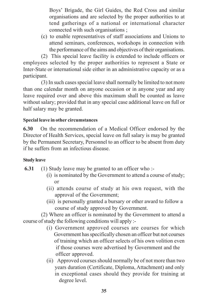Boys' Brigade, the Girl Guides, the Red Cross and similar organisations and are selected by the proper authorities to at tend gatherings of a national or international character connected with such organisations ;

(c) to enable representatives of staff associations and Unions to attend seminars, conferences, workshops in connection with the performance of the aims and objectives of their organisations.

(2) This special leave facility is extended to include officers or employees selected by the proper authorities to represent a State or Inter-State or international side either in an administrative capacity or as a participant.

(3) In such cases special leave shall normally be limited to not more than one calendar month on anyone occasion or in anyone year and any leave required over and above this maximum shall be counted as leave without salary; provided that in any special case additional leave on full or half salary may be granted.

## **Special leave in other circumstances**

**6.30** On the recommendation of a Medical Officer endorsed by the Director of Health Services, special leave on full salary is may be granted by the Permanent Secretary, Personnel to an officer to be absent from duty if he suffers from an infectious disease.

#### **Study leave**

- **6.31** (1) Study leave may be granted to an officer who :-
	- (i) is nominated by the Government to attend a course of study; or
	- (ii) attends course of study at his own request, with the approval of the Government;
	- (iii) is personally granted a bursary or other award to follow a course of study approved by Government.

(2) Where an officer is nominated by the Government to attend a course of study the following conditions will apply :-

- (i) Government approved courses are courses for which Government has specifically chosen an officer but not courses of training which an officer selects of his own volition even if those courses were advertised by Government and the officer approved.
- (ii) Approved courses should normally be of not more than two years duration (Certificate, Diploma, Attachment) and only in exceptional cases should they provide for training at degree level.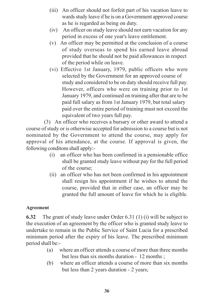- (iii) An officer should not forfeit part of his vacation leave to wards study leave if he is on a Government approved course as he is regarded as being on duty.
- (iv) An officer on study leave should not earn vacation for any period in excess of one year's leave entitlement.
- (v) An officer may be permitted at the conclusion of a course of study overseas to spend his earned leave abroad provided that he should not be paid allowances in respect of the period while on leave.
- (vi) Effective 1st January, 1979, public officers who were selected by the Government for an approved course of study and considered to be on duty should receive full pay. However, officers who were on training prior to 1st January 1979, and continued on training after that are to be paid full salary as from 1st January 1979, but total salary paid over the entire period of training must not exceed the equivalent of two years full pay.

(3) An officer who receives a bursary or other award to attend a course of study or is otherwise accepted for admission to a course but is not nominated by the Government to attend the course, may apply for approval of his attendance, at the course. If approval is given, the following conditons shall apply:-

- (i) an officer who has been confirmed in a pensionable office shall be granted study leave without pay for the full period of the course;
- (ii) an officer who has not been confirmed in his appointment shall resign his appointment if he wishes to attend the course, provided that in either case, an officer may be granted the full amount of leave for which he is eligible.

#### **Agreement**

**6.32** The grant of study leave under Order 6.31 (1) (i) will be subject to the execution of an agreement by the officer who is granted study leave to undertake to remain in the Public Service of Saint Lucia for a prescribed minimum period after the expiry of his leave. The prescribed minimum period shall be:-

- (a) where an officer attends a course of more than three months but less than six months duration - 12 months ;
- (b) where an officer attends a course of more than six months but less than 2 years duration - 2 years;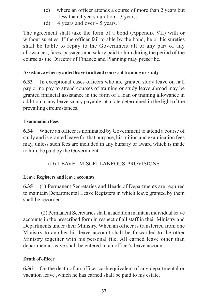- (c) where an officer attends a course of more than 2 years but less than 4 years duration - 3 years;
- (d) 4 years and over 5 years.

The agreement shall take the form of a bond (Appendix VII) with or without sureties. If the officer fail to able by the bond, he or his sureties shall be liable to repay to the Government all or any part of any allowances, fares, passages and salary paid to him during the period of the course as the Director of Finance and Planning may prescribe.

#### **Assistance when granted leave to attend course of training or study**

**6.33** In exceptional cases officers who are granted study leave on half pay or no pay to attend courses of training or study leave abroad may be granted financial assistance in the form of a loan or training allowance in addition to any leave salary payable, at a rate determined in the light of the prevailing circumstances.

#### **Examination Fees**

**6.34** Where an officer is nominated by Government to attend a course of study and is granted leave for that purpose, his tuition and examination fees may, unless such fees are included in any bursary or award which is made to him, be paid by the Government.

# (D) LEAVE -MISCELLANEOUS PROVISIONS

#### **Leave Registers and leave accounts**

**6.35** (1) Permanent Secretaries and Heads of Departments are required to maintain Departmental Leave Registers in which leave granted by them shall be recorded.

(2) Permanent Secretaries shall in addition maintain individual leave accounts in the prescribed form in respect of all staff in their Ministry and Departments under their Ministry. When an officer is transferred from one Ministry to another his leave account shall be forwarded to the other Ministry together with his personal file. All earned leave other than departmental leave shall be entered in an officer's leave account.

#### **Death of officer**

**6.36** On the death of an officer cash equivalent of any departmental or vacation leave ,which he has earned shall be paid to his estate.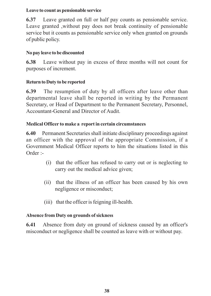#### **Leave to count as pensionable service**

**6.37** Leave granted on full or half pay counts as pensionable service. Leave granted ,without pay does not break continuity of pensionable service but it counts as pensionable service only when granted on grounds of public policy.

# **No pay leave to be discounted**

**6.38** Leave without pay in excess of three months will not count for purposes of increment.

# **Return to Duty to be reported**

**6.39** The resumption of duty by all officers after leave other than departmental leave shall be reported in writing by the Permanent Secretary, or Head of Department to the Permanent Secretary, Personnel, Accountant-General and Director of Audit.

# **Medical Officer to make a report in certain circumstances**

**6.40** Permanent Secretaries shall initiate disciplinary proceedings against an officer with the approval of the appropriate Commission, if a Government Medical Officer reports to him the situations listed in this Order :-

- (i) that the officer has refused to carry out or is neglecting to carry out the medical advice given;
- (ii) that the illness of an officer has been caused by his own negligence or misconduct;
- (iii) that the officer is feigning ill-health.

# **Absence from Duty on grounds of sickness**

**6.41** Absence from duty on ground of sickness caused by an officer's misconduct or negligence shall be counted as leave with or without pay.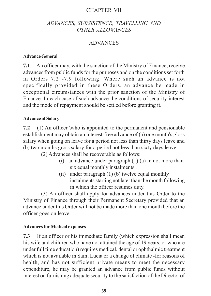#### CHAPTER VII

#### *ADVANCES, SUBSISTENCE, TRAVELLING AND OTHER ALLOWANCES*

#### ADVANCES

#### **Advance General**

**7.1** An officer may, with the sanction of the Ministry of Finance, receive advances from public funds for the purposes and on the conditions set forth in Orders 7.2 -7.9 following. Where such an advance is not specifically provided in these Orders, an advance be made in exceptional circumstances with the prior sanction of the Ministry of Finance. In each case of such advance the conditions of security interest and the mode of repayment should be settled before granting it.

#### **Advance of Salary**

**7.2** (1) An officer \who is appointed to the permanent and pensionable establishment may obtain an interest-free advance of (a) one month's gloss salary when going on leave for a period not less than thirty days leave and (b) two months gross salary for a period not less than sixty days leave.

(2) Advances shall be recoverable as follows:

- (i) an advance under paragraph  $(1)$   $(a)$  in not more than six equal monthly instalments ;
- (ii) under paragraph (1) (b) twelve equal monthly instalments starting not later than the month following in which the officer resumes duty.

(3) An officer shall apply for advances under this Order to the Ministry of Finance through their Permanent Secretary provided that an advance under this Order will not be made more than one month before the officer goes on leave.

#### **Advances for Medical expenses**

**7.3** If an officer or his immediate family (which expression shall mean his wife and children who have not attained the age of 19 years, or who are under full time education) requires medical, dental or ophthalmic treatment which is not available in Saint Lucia or a change of climate -for reasons of health, and has not sufficient private means to meet the necessary expenditure, he may be granted an advance from public funds without interest on furnishing adequate security to the satisfaction of the Director of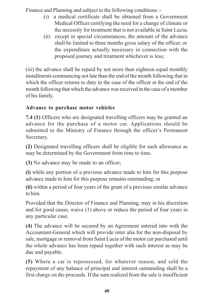Finance and Planning and subject to the following conditions :-

- (i) a medical certificate shall be obtained from a Government Medical Officer certifying the need for a change of climate or the necessity for treatment that is not available in Saint Lucia;
- (ii) except in special circumstances, the amount of the advance shall be limited to three months gross salary of the officer, or the expenditure actually necessary in connection with the proposed journey and treatment whichever is less;

(iii) the advance shall be repaid by not more than eighteen equal monthly installments commencing not late than the end of the month following that in which the officer returns to duty in the case of the officer at the end of the month following that which the advance was received in the case of a member of his family.

# **Advance to purchase motor vehicles**

**7.4 (1)** Officers who are designated travelling officers may be granted an advance for the purchase of a motor car. Applications should be submitted to the Ministry of Finance through the officer's Permanent Secretary.

**(2)** Designated travelling officers shall be eligible for such allowance as may be determined by the Government from time to time.

**(3)** No advance may be made to an officer;

**(i)** while any portion of a previous advance made to him for this purpose advance made to him for this purpose remains outstanding; or

**(ii)** within a period of four years of the grant of a previous similar advance to him.

Provided that the Director of Finance and Planning, may in his discretion and for good cause, waive (1) above or reduce the period of four years in any particular case.

**(4)** The advance will be secured by an Agreement entered into with the Accountant-General which will provide inter alia for the non-disposal by sale, mortgage or removal from Saint Lucia of the motor car purchased until the whole advance has been repaid together with such interest as may be due and payable.

**(5)** Where a car is repossessed, for whatever reason, and sold the repayment of any balance of principal and interest outstanding shall be a first charge on the proceeds. If the sum realized from the sale is insufficient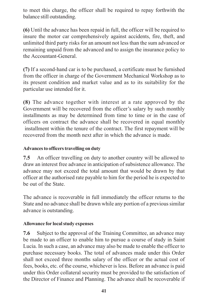to meet this charge, the officer shall be required to repay forthwith the balance still outstanding.

**(6)** Until the advance has been repaid in full, the officer will be required to insure the motor car comprehensively against accidents, fire, theft, and unlimited third party risks for an amount not less than the sum advanced or remaining unpaid from the advanced and to assign the insurance policy to the Accountant-General.

**(7)** If a second-hand car is to be purchased, a certificate must be furnished from the officer in charge of the Government Mechanical Workshop as to its present condition and market value and as to its suitability for the particular use intended for it.

**(8)** The advance together with interest at a rate approved by the Government will be recovered from the officer's salary by such monthly installments as may be determined from time to time or in the case of officers on contract the advance shall be recovered in equal monthly installment within the tenure of the contract. The first repayment will be recovered from the month next after in which the advance is made.

#### **Advances to officers travelling on duty**

**7.5** An officer travelling on duty to another country will be allowed to draw an interest free advance in anticipation of subsistence allowance. The advance may not exceed the total amount that would be drawn by that officer at the authorised rate payable to him for the period he is expected to be out of the State.

The advance is recoverable in full immediately the officer returns to the State and no advance shall be drawn while any portion of a previous similar advance is outstanding.

#### **Allowance for local study expenses**

**7.6** Subject to the approval of the Training Committee, an advance may be made to an officer to enable him to pursue a course of study in Saint Lucia. In such a case, an advance may also be made to enable the officer to purchase necessary books. The total of advances made under this Order shall not exceed three months salary of the officer or the actual cost of fees, books, etc. of the course, whichever is less. Before an advance is paid under this Order collateral security must be provided to the satisfaction of the Director of Finance and Planning. The advance shall be recoverable if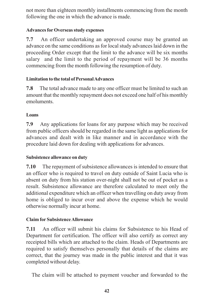not more than eighteen monthly installments commencing from the month following the one in which the advance is made.

#### **Advances for Overseas study expenses**

**7.7** An officer undertaking an approved course may be granted an advance on the same conditions as for local study advances laid down in the proceeding Order except that the limit to the advance will be six months salary and the limit to the period of repayment will be 36 months commencing from the month following the resumption of duty.

# **Limitation to the total of Personal Advances**

**7.8** The total advance made to any one officer must be limited to such an amount that the monthly repayment does not exceed one half of his monthly emoluments.

# **Loans**

**7.9** Any applications for loans for any purpose which may be received from public officers should be regarded in the same light as applications for advances and dealt with in like manner and in accordance with the procedure laid down for dealing with applications for advances.

# **Subsistence allowance on duty**

**7.10** The repayment of subsistence allowances is intended to ensure that an officer who is required to travel on duty outside of Saint Lucia who is absent on duty from his station over-night shall not be out of pocket as a result. Subsistence allowance are therefore calculated to meet only the additional expenditure which an officer when travelling on duty away from home is obliged to incur over and above the expense which he would otherwise normally incur at home.

# **Claim for Subsistence Allowance**

**7.11** An officer will submit his claims for Subsistence to his Head of Department for certification. The officer will also certify as correct any receipted bills which are attached to the claim. Heads of Departments are required to satisfy themselves personally that details of the claims are correct, that the journey was made in the public interest and that it was completed without delay.

The claim will be attached to payment voucher and forwarded to the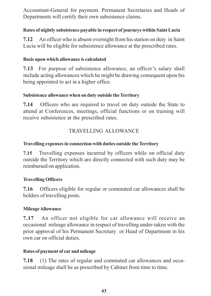Accountant-General for payment. Permanent Secretaries and Heads of Departments will certify their own subsistence claims.

#### **Rates of nightly subsistence payable in respect of journeys within Saint Lucia**

**7.12** An officer who is absent overnight from his station on duty in Saint Lucia will be eligible for subsistence allowance at the prescribed rates.

#### **Basis upon which allowance is calculated**

**7.13** For purpose of subsistence allowance, an officer's salary shall include acting allowances which he might be drawing consequent upon his being appointed to act in a higher office.

#### **Subsistence allowance when on duty outside the Territory**

**7.14** Officers who are required to travel on duty outside the State to attend at Conferences, meetings, official functions or on training will receive subsistence at the prescribed rates.

# TRAVELLING ALLOWANCE

# **Travelling expenses in connection with duties outside the Territory**

**7.15** Travelling expenses incurred by officers while on official duty outside the Territory which are directly connected with such duty may be reimbursed on application.

# **Travelling Officers**

**7.16** Officers eligible for regular or commuted car allowances shall be holders of travelling posts.

# **Mileage Allowance**

**7.17** An officer not eligible for car allowance will receive an occasional mileage allowance in respect of travelling under-taken with the prior approval of his Permanent Secretary or Head of Department in his own car on official duties.

# **Rates of payment of car and mileage**

**7.18** (1) The rates of regular and commuted car allowances and occasional mileage shall be as prescribed by Cabinet from time to time.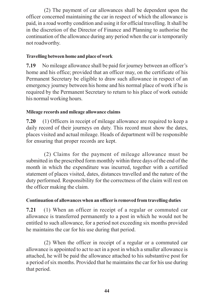(2) The payment of car allowances shall be dependent upon the officer concerned maintaining the car in respect of which the allowance is paid, in a road worthy condition and using it for official travelling. It shall be in the discretion of the Director of Finance and Planning to authorise the continuation of the allowance during any period when the car is temporarily not roadworthy.

#### **Travelling between home and place of work**

**7.19** No mileage allowance shall be paid for journey between an officer's home and his office; provided that an officer may, on the certificate of his Permanent Secretary be eligible to draw such allowance in respect of an emergency journey between his home and his normal place of work if he is required by the Permanent Secretary to return to his place of work outside his normal working hours.

#### **Mileage records and mileage allowance claims**

**7.20** (1) Officers in receipt of mileage allowance are required to keep a daily record of their journeys on duty. This record must show the dates, places visited and actual mileage. Heads of department will be responsible for ensuring that proper records are kept.

(2) Claims for the payment of mileage allowance must be submitted in the prescribed form monthly within three days of the end of the month in which the expenditure was incurred, together with a certified statement of places visited, dates, distances travelled and the nature of the duty performed. Responsibility for the correctness of the claim will rest on the officer making the claim.

# **Continuation of allowances when an officer is removed from travelling duties**

**7.21** (1) When an officer in receipt of a regular or commuted car allowance is transferred permanently to a post in which he would not be entitled to such allowance, for a period not exceeding six months provided he maintains the car for his use during that period.

(2) When the officer in receipt of a regular or a commuted car allowance is appointed to act to act in a post in which a smaller allowance is attached, he will be paid the allowance attached to his substantive post for a period of six months. Provided that he maintains the car for his use during that period.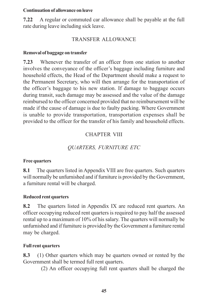#### **Continuation of allowance on leave**

**7.22** A regular or commuted car allowance shall be payable at the full rate during leave including sick leave.

# TRANSFER ALLOWANCE

#### **Removal of baggage on transfer**

**7.23** Whenever the transfer of an officer from one station to another involves the conveyance of the officer's baggage including furniture and household effects, the Head of the Department should make a request to the Permanent Secretary, who will then arrange for the transportation of the officer's baggage to his new station. If damage to baggage occurs during transit, such damage may be assessed and the value of the damage reimbursed to the officer concerned provided that no reimbursement will be made if the cause of damage is due to faulty packing. Where Government is unable to provide transportation, transportation expenses shall be provided to the officer for the transfer of his family and household effects.

# CHAPTER VIII

# *QUARTERS, FURNITURE ETC*

#### **Free quarters**

**8.1** The quarters listed in Appendix VIII are free quarters. Such quarters will normally be unfurnished and if furniture is provided by the Government, a furniture rental will be charged.

# **Reduced rent quarters**

**8.2** The quarters listed in Appendix IX are reduced rent quarters. An officer occupying reduced rent quarters is required to pay half the assessed rental up to a maximum of 10% of his salary. The quarters will normally be unfurnished and if furniture is provided by the Government a furniture rental may be charged.

# **Full rent quarters**

**8.3** (1) Other quarters which may be quarters owned or rented by the Government shall be termed full rent quarters.

(2) An officer occupying full rent quarters shall be charged the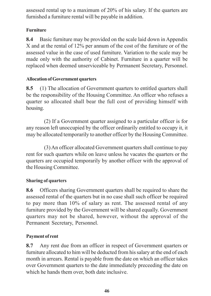assessed rental up to a maximum of 20% of his salary. If the quarters are furnished a furniture rental will be payable in addition.

# **Furniture**

**8.4** Basic furniture may be provided on the scale laid down in Appendix X and at the rental of 12% per annum of the cost of the furniture or of the assessed value in the case of used furniture. Variation to the scale may be made only with the authority of Cabinet. Furniture in a quarter will be replaced when deemed unserviceable by Permanent Secretary, Personnel.

# **Allocation of Government quarters**

**8.5** (1) The allocation of Government quarters to entitled quarters shall be the responsibility of the Housing Committee. An officer who refuses a quarter so allocated shall bear the full cost of providing himself with housing.

(2) If a Government quarter assigned to a particular officer is for any reason left unoccupied by the officer ordinarily entitled to occupy it, it may be allocated temporarily to another officer by the Housing Committee.

(3) An officer allocated Government quarters shall continue to pay rent for such quarters while on leave unless he vacates the quarters or the quarters are occupied temporarily by another officer with the approval of the Housing Committee.

# **Sharing of quarters**

**8.6** Officers sharing Government quarters shall be required to share the assessed rental of the quarters but in no case shall such officer be required to pay more than 10% of salary as rent. The assessed rental of any furniture provided by the Government will be shared equally. Government quarters may not be shared, however, without the approval of the Permanent Secretary, Personnel.

# **Payment of rent**

**8.7** Any rent due from an officer in respect of Government quarters or furniture allocated to him will be deducted from his salary at the end of each month in arrears. Rental is payable from the date on which an officer takes over Government quarters to the date immediately preceeding the date on which he hands them over, both date inclusive.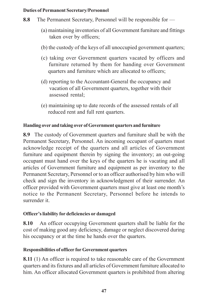#### **Duties of Permanent Secretary/Personnel**

- **8.8** The Permanent Secretary, Personnel will be responsible for
	- (a) maintaining inventories of all Government furniture and fittings taken over by officers;
	- (b) the custody of the keys of all unoccupied government quarters;
	- (c) taking over Government quarters vacated by officers and furniture returned by them for handing over Government quarters and furniture which are allocated to officers;
	- (d) reporting to the Accountant-General the occupancy and vacation of all Government quarters, together with their assessed rental;
	- (e) maintaining up to date records of the assessed rentals of all reduced rent and full rent quarters.

# **Handing over and taking over of Government quarters and furniture**

**8.9** The custody of Government quarters and furniture shall be with the Permanent Secretary, Personnel. An incoming occupant of quarters must acknowledge receipt of the quarters and all articles of Government furniture and equipment therein by signing the inventory; an out-going occupant must hand over the keys of the quarters he is vacating and all articles of Government furniture and equipment as per inventory to the Permanent Secretary, Personnel or to an officer authorised by him who will check and sign the inventory in acknowledgment of their surrender. An officer provided with Government quarters must give at least one month's notice to the Permanent Secretary, Personnel before he intends to surrender it.

#### **Officer's liability for deficiencies or damaged**

**8.10** An officer occupying Government quarters shall be liable for the cost of making good any deficiency, damage or neglect discovered during his occupancy or at the time he hands over the quarters.

# **Responsibilities of officer for Government quarters**

**8.11** (1) An officer is required to take reasonable care of the Government quarters and its fixtures and all articles of Government furniture allocated to him. An officer allocated Government quarters is prohibited from altering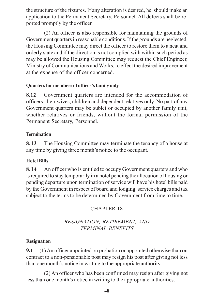the structure of the fixtures. If any alteration is desired, he should make an application to the Permanent Secretary, Personnel. All defects shall be reported promptly by the officer.

(2) An officer is also responsible for maintaining the grounds of Government quarters in reasonable conditions. If the grounds are neglected, the Housing Committee may direct the officer to restore them to a neat and orderly state and if the direction is not complied with within such period as may be allowed the Housing Committee may request the Chief Engineer, Ministry of Communications and Works, to effect the desired improvement at the expense of the officer concerned.

#### **Quarters for members of officer's family only**

**8.12** Government quarters are intended for the accommodation of officers, their wives, children and dependent relatives only. No part of any Government quarters may be sublet or occupied by another family unit, whether relatives or friends, without the formal permission of the Permanent Secretary, Personnel.

#### **Termination**

**8.13** The Housing Committee may terminate the tenancy of a house at any time by giving three month's notice to the occupant.

#### **Hotel Bills**

**8.14** An officer who is entitled to occupy Government quarters and who is required to stay temporarily in a hotel pending the allocation of housing or pending departure upon termination of service will have his hotel bills paid by the Government in respect of board and lodging, service charges and tax subject to the terms to be determined by Government from time to time.

# CHAPTER IX

# *RESIGNATION, RETIREMENT, AND TERMINAL BENEFITS*

#### **Resignation**

**9.1** (1) An officer appointed on probation or appointed otherwise than on contract to a non-pensionable post may resign his post after giving not less than one month's notice in writing to the appropriate authority.

(2) An officer who has been confirmed may resign after giving not less than one month's notice in writing to the appropriate authorities.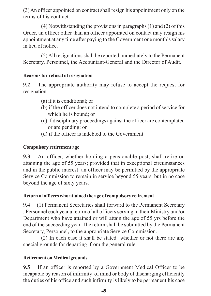(3) An officer appointed on contract shall resign his appointment only on the terms of his contract.

(4) Notwithstanding the provisions in paragraphs (1) and (2) of this Order, an officer other than an officer appointed on contact may resign his appointment at any time after paying to the Government one month's salary in lieu of notice.

(5) All resignations shall be reported immediately to the Permanent Secretary, Personnel, the Accountant-General and the Director of Audit.

#### **Reasons for refusal of resignation**

**9.2** The appropriate authority may refuse to accept the request for resignation:

- (a) if it is conditional; or
- (b) if the officer does not intend to complete a period of service for which he is bound; or
- (c) if disciplinary proceedings against the officer are contemplated or are pending: or
- (d) if the officer is indebted to the Government.

#### **Compulsory retirement age**

**9.3** An officer, whether holding a pensionable post, shall retire on attaining the age of 55 years; provided that in exceptional circumstances and in the public interest an officer may be permitted by the appropriate Service Commission to remain in service beyond 55 years, but in no case beyond the age of sixty years.

#### **Return of officers who attained the age of compulsory retirement**

**9.4** (1) Permanent Secretaries shall forward to the Permanent Secretary , Personnel each year a return of all officers serving in their Ministry and/or Department who have attained or will attain the age of 55 yrs before the end of the succeeding year. The return shall be submitted by the Permanent Secretary, Personnel, to the appropriate Service Commission.

(2) In each case it shall be stated whether or not there are any special grounds for departing from the general rule.

# **Retirement on Medical grounds**

**9.5** If an officer is reported by a Government Medical Officer to be incapable by reason of infirmity of mind or body of discharging efficiently the duties of his office and such infirmity is likely to be permanent,his case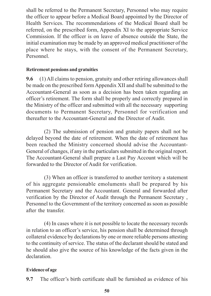shall be referred to the Permanent Secretary, Personnel who may require the officer to appear before a Medical Board appointed by the Director of Health Services. The recommendations of the Medical Board shall be referred, on the prescribed form, Appendix XI to the appropriate Service Commission. If the officer is on leave of absence outside the State, the initial examination may be made by an approved medical practitioner of the place where he stays, with the consent of the Permanent Secretary, Personnel.

#### **Retirement pensions and gratuities**

**9.6** (1) All claims to pension, gratuity and other retiring allowances shall be made on the prescribed form Appendix XII and shall be submitted to the Accountant-General as soon as a decision has been taken regarding an officer's retirement. The form shall be properly and correctly prepared in the Ministry of the officer and submitted with all the necessary supporting documents to Permanent Secretary, Personnel for verification and thereafter to the Accountant-General and the Director of Audit.

(2) The submission of pension and gratuity papers shall not be delayed beyond the date of retirement. When the date of retirement has been reached the Ministry concerned should advise the Accountant-General of changes, if any in the particulars submitted in the original report. The Accountant-General shall prepare a Last Pay Account which will be forwarded to the Director of Audit for verification.

(3) When an officer is transferred to another territory a statement of his aggregate pensionable emoluments shall be prepared by his Permanent Secretary and the Accountant. General and forwarded after verification by the Director of Audit through the Permanent Secretary , Personnel to the Government of the territory concerned as soon as possible after the transfer.

(4) In cases where it is not possible to locate the necessary records in relation to an officer's service, his pension shall be determined through collateral evidence by declarations by one or more reliable persons attesting to the continuity of service. The status of the declarant should be stated and he should also give the source of his knowledge of the facts given in the declaration.

#### **Evidence of age**

**9.7** The officer's birth certificate shall be furnished as evidence of his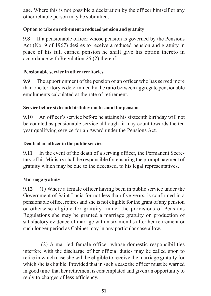age. Where this is not possible a declaration by the officer himself or any other reliable person may be submitted.

#### **Option to take on retirement a reduced pension and gratuity**

**9.8** If a pensionable officer whose pension is governed by the Pensions Act (No. 9 of 1967) desires to receive a reduced pension and gratuity in place of his full earned pension he shall give his option thereto in accordance with Regulation 25 (2) thereof.

# **Pensionable service in other territories**

**9.9** The apportionment of the pension of an officer who has served more than one territory is determined by the ratio between aggregate pensionable emoluments calculated at the rate of retirement.

#### **Service before sixteenth birthday not to count for pension**

**9.10** An officer's service before he attains his sixteenth birthday will not be counted as pensionable service although it may count towards the ten year qualifying service for an Award under the Pensions Act.

#### **Death of an officer in the public service**

**9.11** In the event of the death of a serving officer, the Permanent Secretary of his Ministry shall be responsible for ensuring the prompt payment of gratuity which may be due to the deceased, to his legal representatives.

# **Marriage gratuity**

**9.12** (1) Where a female officer having been in public service under the Government of Saint Lucia for not less than five years, is confirmed in a pensionable office, retires and she is not eligible for the grant of any pension or otherwise eligible for gratuity under the provisions of Pensions Regulations she may be granted a marriage gratuity on production of satisfactory evidence of marrige within six months after her retirement or such longer period as Cabinet may in any particular case allow.

(2) A married female officer whose domestic responsibilities interfere with the discharge of her official duties may be called upon to retire in which case she will be eligible to receive the marriage gratuity for which she is eligible. Provided that in such a case the officer must be warned in good time that her retirement is contemplated and given an opportunity to reply to charges of less efficiency.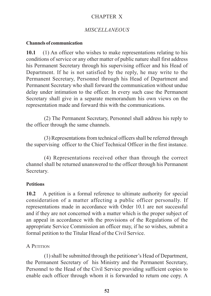#### CHAPTER X

#### *MISCELLANEOUS*

#### **Channels of communication**

**10.1** (1) An officer who wishes to make representations relating to his conditions of service or any other matter of public nature shall first address his Permanent Secretary through his supervising officer and his Head of Department. If he is not satisfied by the reply, he may write to the Permanent Secretary, Personnel through his Head of Department and Permanent Secretary who shall forward the communication without undue delay under intimation to the officer. In every such case the Permanent Secretary shall give in a separate memorandum his own views on the representation made and forward this with the communications.

(2) The Permanent Secretary, Personnel shall address his reply to the officer through the same channels.

(3) Representations from technical officers shall be referred through the supervising officer to the Chief Technical Officer in the first instance.

(4) Representations received other than through the correct channel shall be returned unanswered to the officer through his Permanent Secretary.

#### **Petitions**

**10.2** A petition is a formal reference to ultimate authority for special consideration of a matter affecting a public officer personally. If representations made in accordance with Order 10.1 are not successful and if they are not concerned with a matter which is the proper subject of an appeal in accordance with the provisions of the Regulations of the appropriate Service Commission an officer may, if he so wishes, submit a formal petition to the Titular Head of the Civil Service.

#### A PETITION

(1) shall be submitted through the petitioner's Head of Department, the Permanent Secretary of his Ministry and the Permanent Secretary, Personnel to the Head of the Civil Service providing sufficient copies to enable each officer through whom it is forwarded to return one copy. A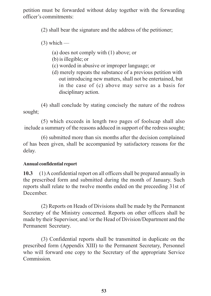petition must be forwarded without delay together with the forwarding officer's commitments:

(2) shall bear the signature and the address of the petitioner;

 $(3)$  which —

- (a) does not comply with (1) above; or
- (b) is illegible; or
- (c) worded in abusive or improper language; or
- (d) merely repeats the substance of a previous petition with out introducing new matters, shall not be entertained, but in the case of (c) above may serve as a basis for disciplinary action.

(4) shall conclude by stating concisely the nature of the redress sought;

(5) which exceeds in length two pages of foolscap shall also include a summary of the reasons adduced in support of the redress sought;

(6) submitted more than six months after the decision complained of has been given, shall be accompanied by satisfactory reasons for the delay.

# **Annual confidential report**

**10.3** (1) A confidential report on all officers shall be prepared annually in the prescribed form and submitted during the month of January. Such reports shall relate to the twelve months ended on the preceeding 31st of December.

(2) Reports on Heads of Divisions shall be made by the Permanent Secretary of the Ministry concerned. Reports on other officers shall be made by their Supervisor, and /or the Head of Division/Department and the Permanent Secretary.

(3) Confidential reports shall be transmitted in duplicate on the prescribed form (Appendix XIII) to the Permanent Secretary, Personnel who will forward one copy to the Secretary of the appropriate Service **Commission**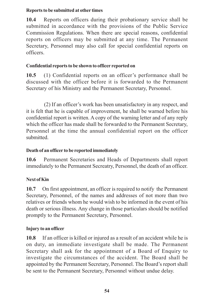#### **Reports to be submitted at other times**

**10.4** Reports on officers during their probationary service shall be submitted in accordance with the provisions of the Public Service Commission Regulations. When there are special reasons, confidential reports on officers may be submitted at any time. The Permanent Secretary, Personnel may also call for special confidential reports on officers.

#### **Confidential reports to be shown to officer reported on**

**10.5** (1) Confidential reports on an officer's performance shall be discussed with the officer before it is forwarded to the Permanent Secretary of his Ministry and the Permanent Secretary, Personnel.

(2) If an officer's work has been unsatisfactory in any respect, and it is felt that he is capable of improvement, he shall be warned before his confidential report is written. A copy of the warning letter and of any reply which the officer has made shall be forwarded to the Permanent Secretary, Personnel at the time the annual confidential report on the officer submitted.

# **Death of an officer to be reported immediately**

**10.6** Permanent Secretaries and Heads of Departments shall report immediately to the Permanent Secreatry, Personnel, the death of an officer.

# **Next of Kin**

**10.7** On first appointment, an officer is required to notify the Permanent Secretary, Personnel, of the names and addresses of not more than two relatives or friends whom he would wish to be informed in the event of his death or serious illness. Any change in those particulars should be notified promptly to the Permanent Secretary, Personnel.

# **Injury to an officer**

**10.8** If an officer is killed or injured as a result of an accident while he is on duty, an immediate investigate shall be made. The Permanent Secretary shall ask for the appointment of a Board of Enquiry to investigate the circumstances of the accident. The Board shall be appointed by the Permanent Secretary, Personnel. The Board's report shall be sent to the Permanent Secretary, Personnel without undue delay.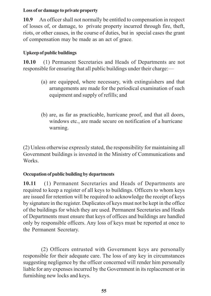#### **Loss of or damage to private property**

**10.9** An officer shall not normally be entitled to compensation in respect of losses of, or damage, to private property incurred through fire, theft, riots, or other causes, in the course of duties, but in special cases the grant of compensation may be made as an act of grace.

# **Upkeep of public buildings**

**10.10** (1) Permanent Secretaries and Heads of Departments are not responsible for ensuring that all public buildings under their charge:—

- (a) are equipped, where necessary, with extinguishers and that arrangements are made for the periodical examination of such equipment and supply of refills; and
- (b) are, as far as practicable, hurricane proof, and that all doors, windows etc., are made secure on notification of a hurricane warning.

(2) Unless otherwise expressly stated, the responsibility for maintaining all Government buildings is invested in the Ministry of Communications and Works.

# **Occupation of public building by departments**

**10.11** (1) Permanent Secretaries and Heads of Departments are required to keep a register of all keys to buildings. Officers to whom keys are issued for retention will be required to acknowledge the receipt of keys by signature in the register. Duplicates of keys must not be kept in the office of the buildings for which they are used. Permanent Secretaries and Heads of Departments must ensure that keys of offices and buildings are handled only by responsible officers. Any loss of keys must be reported at once to the Permanent Secretary.

(2) Officers entrusted with Government keys are personally responsible for their adequate care. The loss of any key in circumstances suggesting negligence by the officer concerned will render him personally liable for any expenses incurred by the Government in its replacement or in furnishing new locks and keys.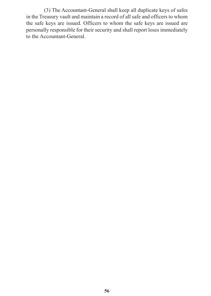(3) The Accountant-General shall keep all duplicate keys of safes in the Treasury vault and maintain a record of all safe and officers to whom the safe keys are issued. Officers to whom the safe keys are issued are personally responsible for their security and shall report loses immediately to the Accountant-General.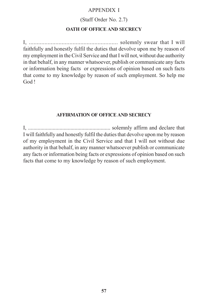#### APPENDIX I

#### (Staff Order No. 2.7)

#### **OATH OF OFFICE AND SECRECY**

I, ......................................................... solemnly swear that I will faithfully and honestly fulfil the duties that devolve upon me by reason of my employment in the Civil Service and that I will not, without due authority in that behalf, in any manner whatsoever, publish or communicate any facts or information being facts or expressions of opinion based on such facts that come to my knowledge by reason of such employment. So help me God !

#### **AFFIRMATION OF OFFICE AND SECRECY**

I, ............................................................ solemnly affirm and declare that I will faithfully and honestly fulfil the duties that devolve upon me by reason of my employment in the Civil Service and that I will not without due authority in that behalf, in any manner whatsoever publish or communicate any facts or information being facts or expressions of opinion based on such facts that come to my knowledge by reason of such employment.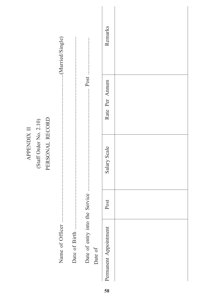|                    |                        |                 | (Married/Single) |               |                 |         | Remarks               |  |
|--------------------|------------------------|-----------------|------------------|---------------|-----------------|---------|-----------------------|--|
|                    |                        |                 |                  |               |                 |         | Rate Per Annum        |  |
| <b>APPENDIX II</b> | (Staff Order No. 2.10) | PERSONAL RECORD |                  |               |                 |         | Salary Scale          |  |
|                    |                        |                 |                  |               |                 |         | Post                  |  |
|                    |                        |                 | Name of Officer  | Date of Birth | Date of entry i | Date of | Permanent Appointment |  |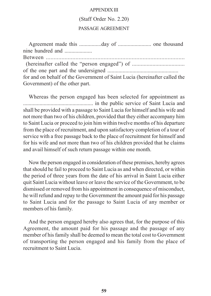#### APPENDIX III

#### (Staff Order No. 2.20)

#### PASSAGE AGREEMENT

Agreement made this ................day of ........................ one thousand nine hundred and Between .........................................................................................

(hereinafter called the "person engaged") of .................................... of the one part and the undersigned ................................................... for and on behalf of the Government of Saint Lucia (hereinafter called the Government) of the other part.

Whereas the person engaged has been selected for appointment as ................................................... in the public service of Saint Lucia and shall be provided with a passage to Saint Lucia for himself and his wife and not more than two of his children, provided that they either accompany him to Saint Lucia or proceed to join him within twelve months of his departure from the place of recruitment, and upon satisfactory completion of a tour of service with a free passage back to the place of recruitment for himself and for his wife and not more than two of his children provided that he claims and avail himself of such return passage within one month.

Now the person engaged in consideration of these premises, hereby agrees that should he fail to proceed to Saint Lucia as and when directed, or within the period of three years from the date of his arrival in Saint Lucia either quit Saint Lucia without leave or leave the service of the Government, to be dismissed or removed from his appointment in consequence of misconduct, he will refund and repay to the Government the amount paid for his passage to Saint Lucia and for the passage to Saint Lucia of any member or members of his family.

And the person engaged hereby also agrees that, for the purpose of this Agreement, the amount paid for his passage and the passage of any member of his family shall be deemed to mean the total cost to Government of transporting the person engaged and his family from the place of recruitment to Saint Lucia.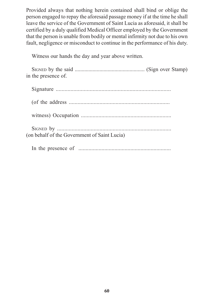Provided always that nothing herein contained shall bind or oblige the person engaged to repay the aforesaid passage money if at the time he shall leave the service of the Government of Saint Lucia as aforesaid, it shall be certified by a duly qualified Medical Officer employed by the Government that the person is unable from bodily or mental infirmity not due to his own fault, negligence or misconduct to continue in the performance of his duty.

Witness our hands the day and year above written.

| in the presence of.                          |
|----------------------------------------------|
|                                              |
|                                              |
|                                              |
| (on behalf of the Government of Saint Lucia) |
|                                              |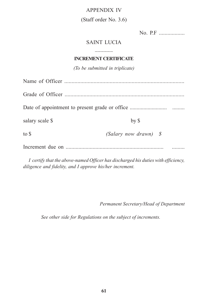#### APPENDIX IV

#### (Staff order No. 3.6)

| No. P.F | . |
|---------|---|
|         |   |

#### SAINT LUCIA

#### **INCREMENT CERTIFICATE**

\_\_\_\_\_\_

*(To be submitted in triplicate)*

| salary scale \$ | by <sub>§</sub>       |  |
|-----------------|-----------------------|--|
| to \$           | (Salary now drawn) \$ |  |
|                 |                       |  |

*I certify that the above-named Officer has discharged his duties with efficiency, diligence and fidelity, and I approve his/her increment.*

*Permanent Secretary/Head of Department*

*See other side for Regulations on the subject of increments.*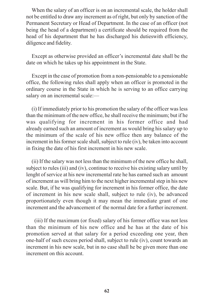When the salary of an officer is on an incremental scale, the holder shall not be entitled to draw any increment as of right, but only by sanction of the Permanent Secretary or Head of Department. In the case of an officer (not being the head of a department) a certificate should be required from the head of his department that he has discharged his dutieswith efficiency, diligence and fidelity.

Except as otherwise provided an officer's incremental date shall be the date on which he takes up his appointment in the State.

Except in the case of promotion from a non-pensionable to a pensionable office, the following rules shall apply when an officer is promoted in the ordinary course in the State in which he is serving to an office carrying salary on an incremental scale:-

(i) If immediately prior to his promotion the salary of the officer was less than the minimum of the new office, he shall receive the minimum; but if he was qualifying for increment in his former office and had already earned such an amount of increment as would bring his salary up to the minimum of the scale of his new office then any balance of the increment in his former scale shall, subject to rule (iv), be taken into account in fixing the date of his first increment in his new scale.

(ii) If the salary was not less than the minimum of the new office he shall, subject to rules (iii) and (iv), continue to receive his existing salary until by lenght of service at his new incremental rate he has earned such an amount of increment as will bring him to the next higher incremental step in his new scale. But, if he was qualifying for increment in his former office, the date of increment in his new scale shall, subject to rule (iv), be advanced proportionately even though it may mean the immediate grant of one increment and the advancement of the normal date for a further increment.

(iii) If the maximum (or fixed) salary of his former office was not less than the minimum of his new office and he has at the date of his promotion served at that salary for a period exceeding one year, then one-half of such excess period shall, subject to rule (iv), count towards an increment in his new scale, but in no case shall he be given more than one increment on this account.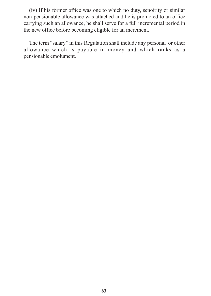(iv) If his former office was one to which no duty, senoirity or similar non-pensionable allowance was attached and he is promoted to an office carrying such an allowance, he shall serve for a full incremental period in the new office before becoming eligible for an increment.

The term "salary" in this Regulation shall include any personal or other allowance which is payable in money and which ranks as a pensionable emolument.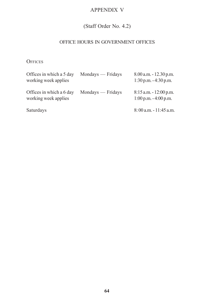#### APPENDIX V

# (Staff Order No. 4.2)

#### OFFICE HOURS IN GOVERNMENT OFFICES

**OFFICES** 

| Offices in which a 5 day<br>working week applies | Mondays — Fridays | $8.00$ a.m. $-12.30$ p.m.<br>$1:30$ p.m. $-4:30$ p.m. |
|--------------------------------------------------|-------------------|-------------------------------------------------------|
| Offices in which a 6 day<br>working week applies | Mondays — Fridays | $8:15$ a.m. $-12:00$ p.m.<br>$1:00$ p.m. $-4:00$ p.m. |
| Saturdays                                        |                   | $8:00$ a.m. $-11:45$ a.m.                             |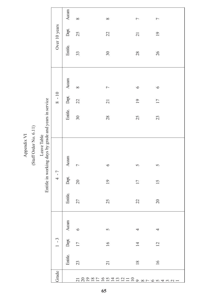Appendix VI Appendix VI

# $\left( \mathrm{Staff}$  Order No.  $6.11\right)$ (Staff Order No. 6.11)

# Leave Table<br>Entitle in working days by grade and years in service Entitle in working days by grade and years in service Leave Table

| Grade                         |                 | $1 - 3$         |         |                | $4 - 7$         |                |                 | $8 - 10$             |                |          | Over 10 years             |                |
|-------------------------------|-----------------|-----------------|---------|----------------|-----------------|----------------|-----------------|----------------------|----------------|----------|---------------------------|----------------|
|                               | Entitle.        | Dept            | Accum   | Entitle. Dept. |                 | Accum          |                 | Entitle. Dept. Accum |                | Entitle. | Dept.                     | Accum          |
|                               | 23              | $\overline{17}$ | $\circ$ | 27             | 20              | $\overline{a}$ | 30 <sub>o</sub> | 22                   | $\infty$       | 33       | 25                        | $\infty$       |
|                               | $\overline{21}$ | $\overline{16}$ | 5       | 25             | $\overline{19}$ | $\circ$        | 28              | $\overline{21}$      | $\overline{C}$ | 30       | 22                        | $\infty$       |
| <u> 122212412112987654321</u> | $\frac{8}{18}$  | $\overline{1}$  | 4       | 22             | $\overline{11}$ | 5              | 25              | $\overline{19}$      | $\circ$        | 28       | $\overline{\mathfrak{c}}$ | $\overline{ }$ |
|                               | 16              | $\overline{c}$  | 4       | 20             | $\overline{15}$ | $\sigma$       | 23              | $\overline{17}$      | $\circ$        | 26       | $\overline{19}$           | $\overline{ }$ |
|                               |                 |                 |         |                |                 |                |                 |                      |                |          |                           |                |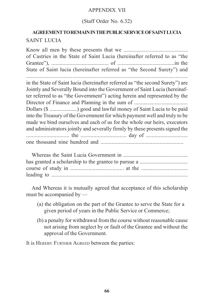#### APPENDIX VII

#### (Staff Order No. 6.32)

# **AGREEMENT TO REMAIN IN THE PUBLIC SERVICE OF SAINT LUCIA** SAINT LUCIA

Know all men by these presents that we ............................................ of Castries in the State of Saint Lucia (hereinafter referred to as "the Grantee"), ......................................... of .........................................in the State of Saint lucia (hereinafter referred as "the Second Surety") and in the State of Saint lucia (hereinafter referred as "the second Surety") are Jointly and Severally Bound into the Government of Saint Lucia (hereinafter referred to as "the Government") acting herein and represented by the Director of Finance and Planning in the sum of ....................................... Dollars (\$ ....................) good and lawful money of Saint Lucia to be paid into the Treasury of the Government for which payment well and truly to be made we bind ourselves and each of us for the whole our heirs, executors and administrators jointly and severally firmly by these presents signed the .............................. the ................................ day of ............................. one thousand nine hundred and ...........................................................

Whereas the Saint Lucia Government in ............................................... has granted a scholarship to the grantee to pursue a ................................... course of study in ...................................... at the ................................. leading to ................................................................................................

And Whereas it is mutually agreed that acceptance of this scholarship must be accompanied by —

- (a) the obligation on the part of the Grantee to serve the State for a given period of years in the Public Service or Commerce;
- (b) a penalty for withdrawal from the course without reasonable cause not arising from neglect by or fault of the Grantee and without the approval of the Government.

It is HEREBY FURTHER AGREED between the parties: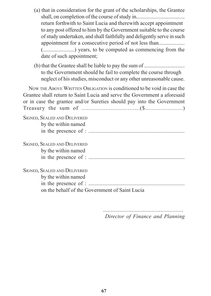- (a) that in consideration for the grant of the scholarships, the Grantee shall, on completion of the course of study in.................................... return forthwith to Saint Lucia and therewith accept appointment to any post offered to him by the Government suitable to the course of study undertaken, and shall faithfully and deligently serve in such appointment for a consecutive period of not less than............................ (.......................) years, to be computed as commencing from the date of such appointment;
- (b) that the Grantee shall be liable to pay the sum of .............................. to the Government should he fail to complete the course through neglect of his studies, misconduct or any other unreasonable cause.

NOW THE ABOVE WRITTEN OBLIGATION is conditioned to be void in case the Grantee shall return to Saint Lucia and serve the Government a aforesaid or in case the grantee and/or Sureties should pay into the Government Treasury the sum of ..................................(\$......................) SIGNED, SEALED AND DELIVERED by the within named in the presence of : .................................................................... SIGNED, SEALED AND DELIVERED by the within named in the presence of : .................................................................... SIGNED, SEALED AND DELIVERED by the within named in the presence of : .................................................................... on the behalf of the Government of Saint Lucia

*Director of Finance and Planning*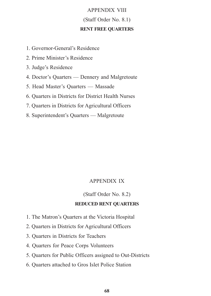# APPENDIX VIII (Staff Order No. 8.1) **RENT FREE QUARTERS**

- 1. Governor-General's Residence
- 2. Prime Minister's Residence
- 3. Judge's Residence
- 4. Doctor's Quarters Dennery and Malgretoute
- 5. Head Master's Quarters Massade
- 6. Quarters in Districts for District Health Nurses
- 7. Quarters in Districts for Agricultural Officers
- 8. Superintendent's Quarters Malgretoute

#### APPENDIX IX

#### (Staff Order No. 8.2)

#### **REDUCED RENT QUARTERS**

- 1. The Matron's Quarters at the Victoria Hospital
- 2. Quarters in Districts for Agricultural Officers
- 3. Quarters in Districts for Teachers
- 4. Quarters for Peace Corps Volunteers
- 5. Quarters for Public Officers assigned to Out-Districts
- 6. Quarters attached to Gros Islet Police Station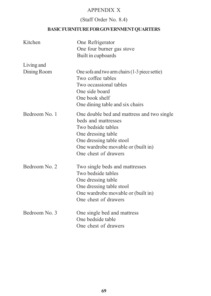#### APPENDIX X

# (Staff Order No. 8.4)

#### **BASIC FURNITURE FOR GOVERNMENT QUARTERS**

| Kitchen                   | One Refrigerator<br>One four burner gas stove<br>Built in cupboards                                                                                                                                     |
|---------------------------|---------------------------------------------------------------------------------------------------------------------------------------------------------------------------------------------------------|
| Living and<br>Dining Room | One sofa and two arm chairs (1-3 piece settie)<br>Two coffee tables<br>Two occassional tables<br>One side board<br>One book shelf<br>One dining table and six chairs                                    |
| Bedroom No. 1             | One double bed and mattress and two single<br>beds and mattresses<br>Two bedside tables<br>One dressing table<br>One dressing table stool<br>One wardrobe movable or (built in)<br>One chest of drawers |
| Bedroom No. 2             | Two single beds and mattresses<br>Two bedside tables<br>One dressing table<br>One dressing table stool<br>One wardrobe movable or (built in)<br>One chest of drawers                                    |
| Bedroom No. 3             | One single bed and mattress<br>One bedside table<br>One chest of drawers                                                                                                                                |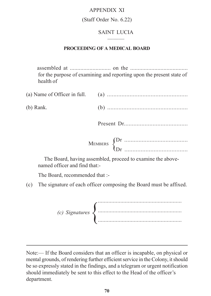#### APPENDIX XI

#### (Staff Order No. 6.22)

#### SAINT LUCIA ———

#### **PROCEEDING OF A MEDICAL BOARD**

assembled at ........................... on the ...................................... for the purpose of examining and reporting upon the present state of health of

| $(b)$ Rank. |  |
|-------------|--|

Present Dr........................................

Dr ........................................

Dr ....................................... MEMBERS {

The Board, having assembled, proceed to examine the abovenamed officer and find that:-

The Board, recommended that :-

(c) The signature of each officer composing the Board must be affixed.

........................................................ ........................................................ ........................................................ *(c) Signatures*{

Note:— If the Board considers that an officer is incapable, on physical or mental grounds, of rendering further efficient service in the Colony, it should be so expressly stated in the findings, and a telegram or urgent notification should immediately be sent to this effect to the Head of the officer's department.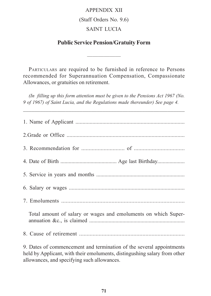#### APPENDIX XII

#### (Staff Orders No. 9.6)

#### SAINT LUCIA

#### **Public Service Pension/Gratuity Form**

——————

PARTICULARS are required to be furnished in reference to Persons recommended for Superannuation Compensation, Compassionate Allowances, or gratuities on retirement.

*(In filling up this form attention must be given to the Pensions Act 1967 (No. 9 of 1967) of Saint Lucia, and the Regulations made thereunder) See page 4.*

\_\_\_\_\_\_\_\_\_\_\_\_\_\_\_\_\_\_\_\_\_\_\_\_\_\_\_\_\_\_\_\_\_\_\_\_\_\_\_\_\_\_\_\_\_\_\_\_\_\_\_\_\_\_\_\_\_

| Total amount of salary or wages and emoluments on which Super- |
|----------------------------------------------------------------|
|                                                                |
|                                                                |

9. Dates of commencement and termination of the several appointments held by Applicant, with their emoluments, distingushing salary from other allowances, and specifying such allowances.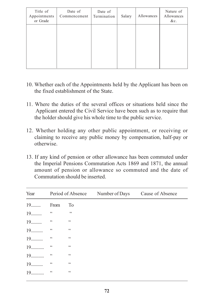| Title of<br>Appointments<br>or Grade | Date of<br>Commencement | Date of<br>Termination | Salary | Allowances | Nature of<br>Allowances<br>&c. |
|--------------------------------------|-------------------------|------------------------|--------|------------|--------------------------------|
|                                      |                         |                        |        |            |                                |
|                                      |                         |                        |        |            |                                |

- 10. Whether each of the Appointments held by the Applicant has been on the fixed establishment of the State.
- 11. Where the duties of the several offices or situations held since the Applicant entered the Civil Service have been such as to require that the holder should give his whole time to the public service.
- 12. Whether holding any other public appointment, or receiving or claiming to receive any public money by compensation, half-pay or otherwise.
- 13. If any kind of pension or other allowance has been commuted under the Imperial Pensions Commutation Acts 1869 and 1871, the annual amount of pension or allowance so commuted and the date of Commutation should be inserted.

|                |                   |                   | Year Period of Absence Number of Days Cause of Absence |  |
|----------------|-------------------|-------------------|--------------------------------------------------------|--|
| 19        From |                   | To                |                                                        |  |
|                |                   | $\sim$ 4.4        |                                                        |  |
|                |                   | $\subset \subset$ |                                                        |  |
|                |                   | $\subset \subset$ |                                                        |  |
|                |                   | $\zeta$ $\zeta$   |                                                        |  |
| 19             | $\zeta$ $\zeta$   | $\subset \subset$ |                                                        |  |
| 19             | $\zeta$ $\zeta$   | $\zeta$ $\zeta$   |                                                        |  |
| 19             | $\subset \subset$ | $\subset \subset$ |                                                        |  |
|                | $\subset \subset$ | $\subset \subset$ |                                                        |  |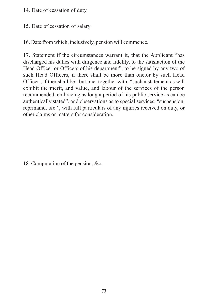# 14. Date of cessation of duty

# 15. Date of cessation of salary

16. Date from which, inclusively, pension will commence.

17. Statement if the circumstances warrant it, that the Applicant "has discharged his duties with diligence and fidelity, to the satisfaction of the Head Officer or Officers of his department", to be signed by any two of such Head Officers, if there shall be more than one,or by such Head Officer , if ther shall be but one, together with, "such a statement as will exhibit the merit, and value, and labour of the services of the person recommended, embracing as long a period of his public service as can be authentically stated", and observations as to special services, "suspension, reprimand, &c.", with full particulars of any injuries received on duty, or other claims or matters for consideration.

18. Computation of the pension, &c.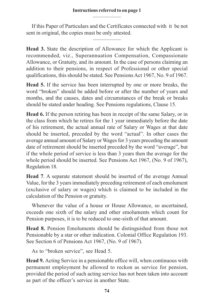If this Paper of Particulars and the Certificates connected with it be not sent in original, the copies must be only attested.

—————

**Head 3.** State the description of Allowance for which the Applicant is recommended, viz., Superannuation Compensation, Compassionate Allowance, or Gratuity, and its amount. In the case of persons claiming an addition to their pensions, in respect of Professional or other special qualifications, this should be stated. See Pensions Act 1967, No. 9 of 1967.

**Head 5.** If the service has been interrupted by one or more breaks, the word "broken" should be added before or after the number of years and months, and the causes, dates and circumstances of the break or breaks should be stated under heading. See Pensions regulations, Clause 15.

**Head 6.** If the person retiring has been in receipt of the same Salary, or in the class from which he retires for the 1 year immediately before the date of his retirement, the actual annual rate of Salary or Wages at that date should be inserted, preceded by the word "actual". In other cases the average annual amount of Salary or Wages for 3 years preceding the amount date of retirement should be inserted preceded by the word "average", but if the whole period of service is less than 3 years then the average for the whole period should be inserted. See Pensions Act 1967, (No. 9 of 1967), Regulation 18.

**Head 7**. A separate statement should be inserted of the average Annual Value, for the 3 years immediately preceding retirement of each emolument (exclusive of salary or wages) which is claimed to be included in the calculation of the Pension or gratuity.

Whenever the value of a house or House Allowance, so ascertained, exceeds one sixth of the salary and other emoluments which count for Pension purposes, it is to be reduced to one-sixth of that amount.

**Head 8.** Pension Emoluments should be distinguished from those not Pensionable by a star or other indication. Colonial Office Regulation 193. See Section 6 of Pensions Act 1967, (No. 9 of 1967).

As to "broken service", see Head 5.

**Head 9.** Acting Service in a pensionable office will, when continuous with permanent employment be allowed to reckon as service for pension, provided the period of such acting service has not been taken into account as part of the officer's service in another State.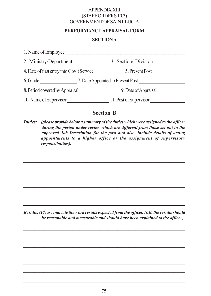### APPENDIX XIII (STAFF ORDERS 10.3) GOVERNMENT OF SAINT LUCIA

### **PERFORMANCE APPRAISAL FORM**

### **SECTIONA**

| 1. Name of Employee                       |                                   |  |  |  |
|-------------------------------------------|-----------------------------------|--|--|--|
| 2. Ministry/Department                    | 3. Section/ Division              |  |  |  |
| 4. Date of first entry into Gov't Service | 5. Present Post                   |  |  |  |
| 6. Grade                                  | 7. Date Appointed to Present Post |  |  |  |
| 8. Period covered by Appraisal            | 9. Date of Appraisal              |  |  |  |
| 10. Name of Supervisor                    | 11. Post of Supervisor            |  |  |  |

## **Section B**

*Duties: (please provide below a summary of the duties which were assigned to the officer during the period under review which are different from those set out in the approved Job Description for the post and also, include details of acting appointments to a higher office or the assignment of supervisory responsibilities).*

*\_\_\_\_\_\_\_\_\_\_\_\_\_\_\_\_\_\_\_\_\_\_\_\_\_\_\_\_\_\_\_\_\_\_\_\_\_\_\_\_\_\_\_\_\_\_\_\_\_\_\_\_\_\_\_\_\_\_\_\_\_\_\_\_\_\_\_\_\_\_\_\_\_*

*\_\_\_\_\_\_\_\_\_\_\_\_\_\_\_\_\_\_\_\_\_\_\_\_\_\_\_\_\_\_\_\_\_\_\_\_\_\_\_\_\_\_\_\_\_\_\_\_\_\_\_\_\_\_\_\_\_\_\_\_\_\_\_\_\_\_\_\_\_\_\_\_\_*

*Results: (Please indicate the work results expected from the officer. N.B. the results should be reasonable and measurable and should have been explained to the officer).*

*\_\_\_\_\_\_\_\_\_\_\_\_\_\_\_\_\_\_\_\_\_\_\_\_\_\_\_\_\_\_\_\_\_\_\_\_\_\_\_\_\_\_\_\_\_\_\_\_\_\_\_\_\_\_\_\_\_\_\_\_\_\_\_\_\_\_\_\_\_\_\_\_*

*\_\_\_\_\_\_\_\_\_\_\_\_\_\_\_\_\_\_\_\_\_\_\_\_\_\_\_\_\_\_\_\_\_\_\_\_\_\_\_\_\_\_\_\_\_\_\_\_\_\_\_\_\_\_\_\_\_\_\_\_\_\_\_\_\_\_\_\_\_\_\_*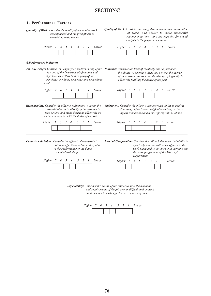## **SECTION C**

#### **1. Performance Factors**

| Quantity of Work: Consider the quality of acceptable work<br>accomplished and the promptness in<br>completing assignments.                                                                                                                                                       | <b>Quality of Work:</b> Consider accuracy, thoroughness, and presentation<br>of work, and ability to make successful<br>recommendations and the capacity for sound<br>analysis in the performance duties.                      |  |  |  |  |
|----------------------------------------------------------------------------------------------------------------------------------------------------------------------------------------------------------------------------------------------------------------------------------|--------------------------------------------------------------------------------------------------------------------------------------------------------------------------------------------------------------------------------|--|--|--|--|
| 5<br>3<br>Lower<br>Higher 7<br>6<br>$\overline{4}$<br>2<br>1                                                                                                                                                                                                                     | 5<br>Higher 7<br>6<br>3<br>$\overline{4}$<br>2<br>1<br>Lower                                                                                                                                                                   |  |  |  |  |
| 2. Performance Indicators                                                                                                                                                                                                                                                        |                                                                                                                                                                                                                                |  |  |  |  |
| Job Knowledge: Consider the employee's understanding of the Initiative: Consider the level of creativity and self-reliance,<br>job and of the Department's functions and<br>objectives as well as his/her grasp of the<br>principles, methods, processes and procedures<br>used. | the ability to originate ideas and actions, the degree<br>of supervision required and the display of ingenuity in<br>effectively fulfilling the duties of the post.                                                            |  |  |  |  |
| Higher 7<br>6<br>5<br>3<br>2<br>$\mathcal{I}$<br>Lower<br>$\overline{4}$                                                                                                                                                                                                         | Higher<br>5<br>3<br>2<br>1<br>Lower<br>- 7<br>6<br>$\overline{4}$                                                                                                                                                              |  |  |  |  |
| Responsibility: Consider the officer's willingness to accept the<br>resposibilities and authority of the post and to<br>take actions and make decisions effectively on<br>matters associated with the duties ofthe post.                                                         | Judgement: Consider the officer's demonstrated ability to analyze<br>situations, define issues, weigh alternatives, arrive at<br>logical conclusions and adopt appropriate solutions.                                          |  |  |  |  |
| 3<br>Higher 7<br>6<br>5<br>$\overline{4}$<br>2<br>Lower<br>$\mathcal{I}$                                                                                                                                                                                                         | 3<br>Higher 7<br>5<br>2<br>1<br>Lower<br>6<br>4                                                                                                                                                                                |  |  |  |  |
| Contacts with Public: Consider the officer's demonstrated<br>ability to effectively relate to the public<br>in the performance of the duties<br>associated with the post.                                                                                                        | Level of Co-operation: Consider the officer's demonstarted ability to<br>effectively interact with other officers in the<br>work place and to co-operate in carrying out<br>the work programme of the Ministry/<br>Department. |  |  |  |  |
| 2<br>Lower<br>Higher 7<br>6<br>5<br>3<br>1<br>4                                                                                                                                                                                                                                  | Higher 7<br>5<br>3<br>6<br>2<br>Lower<br>4<br>1                                                                                                                                                                                |  |  |  |  |

*Depenability: Consider the ability of the officer to meet the demands and requirements of the job even in difficult and unusual situations and to make effective use of working time.*

| Higher |  |  |  | Lower |
|--------|--|--|--|-------|
|        |  |  |  |       |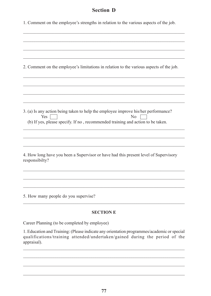# **Section D**

|  |  |  | 1. Comment on the employee's strengths in relation to the various aspects of the job. |
|--|--|--|---------------------------------------------------------------------------------------|
|  |  |  |                                                                                       |

| 2. Comment on the employee's limitations in relation to the various aspects of the job.                                                                                                        |
|------------------------------------------------------------------------------------------------------------------------------------------------------------------------------------------------|
|                                                                                                                                                                                                |
|                                                                                                                                                                                                |
|                                                                                                                                                                                                |
| 3. (a) Is any action being taken to help the employee improve his/her performance?<br>N <sub>o</sub><br>Yes<br>(b) If yes, please specify. If no, recommended training and action to be taken. |
|                                                                                                                                                                                                |
|                                                                                                                                                                                                |
| 4. How long have you been a Supervisor or have had this present level of Supervisory<br>responsibilty?                                                                                         |
|                                                                                                                                                                                                |
|                                                                                                                                                                                                |
| 5. How many people do you supervise?                                                                                                                                                           |
| <b>SECTION E</b>                                                                                                                                                                               |

Career Planning (to be completed by employee)

1. Education and Training: (Please indicate any orientation programmes/academic or special qualifications/training attended/undertaken/gained during the period of the appraisal).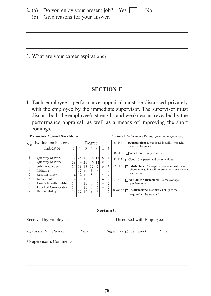| 2. (a) Do you enjoy your present job? Yes $\Box$<br>(b) Give reasons for your answer. | No. |
|---------------------------------------------------------------------------------------|-----|
|                                                                                       |     |
| 3. What are your career aspirations?                                                  |     |

### **SECTION F**

1. Each employee's performance appraisal must be discussed privately with the employee by the immediate supervisor. The supervisor must discuss both the employee's strengths and weakness as revealed by the performance appraisal, as well as a means of improving the short comings.

2. **Performance Apprasial Score Matrix**

| N <sub>0</sub> | Evaluation Factors/   |                 | Degree |             |    |   |                |                | 161-147 | $\Box$ <b>Outstanding:</b> Exceptional in ability, capacity     |
|----------------|-----------------------|-----------------|--------|-------------|----|---|----------------|----------------|---------|-----------------------------------------------------------------|
|                | Indicator             |                 | O      |             |    |   |                |                |         | and performance.                                                |
|                |                       |                 |        |             |    |   |                |                |         | 146 -132 □ Very Good: Very effective.                           |
| 1.             | Quantity of Work      | 28              |        | 24 20 16 12 |    |   | 8              | $\overline{4}$ | 131-117 | $\Box$ Good: Competent and conscientious.                       |
| 2.             | Quantity of Work      | 281             |        | 24 20 16 12 |    |   | 8              | $\overline{4}$ |         |                                                                 |
| 3.             | Job Knowledge         | 21              |        | 18 15       | 12 | 9 | 6              | 3              | 116-102 | Satisfactory: Average performance with some                     |
| 4.             | Initiative            | $\overline{14}$ | 12     | 10          | 8  | 6 | 4              | $\overline{c}$ |         | shortcomings but will improve with experience                   |
| 5.             | Responsibility        | 14              | 12     | 10          | 8  | 6 | 4              | $\overline{c}$ |         | and trainig                                                     |
| 6.             | Judgement             | 14              | 12     | 10          | 8  | 6 | 4              | 2              | 101-87  | $\Box$ Not Quite Satisfactory: Below average                    |
| 7.             | Contacts with Public  | 14 <sub>1</sub> | 12     | 10          | 8  | 6 | 4              | 2              |         | performance.                                                    |
| 8.             | Level of Co-operation | 14              | 12     | 10          | 8  | 6 | $\overline{4}$ | $\overline{2}$ |         |                                                                 |
| 9.             | Dependability         | 14              | 12     | 10          | 8  | 6 | 4              | $\overline{2}$ |         | Below 87 $\Box$ <b>Unsatisfactory:</b> Definitely not up to the |
|                |                       |                 |        |             |    |   |                |                |         | required to the standard                                        |

#### **Section G**

Received by Employee: Discussed with Employee:

3. **Overall Performance Rating:** *(please tick appropriate score)*

 $\mathcal{L}_\text{max}$  and the contract of the contract of the contract of the contract of the contract of the contract of the contract of the contract of the contract of the contract of the contract of the contract of the contrac *Signature (Employee) Date Signature (Supervisor) Date \** Supervisor's Comments:

\_\_\_\_\_\_\_\_\_\_\_\_\_\_\_\_\_\_\_\_\_\_\_\_\_\_\_\_\_\_\_\_\_\_\_\_\_\_\_\_\_\_\_\_\_\_\_\_\_\_\_\_\_\_\_\_\_\_\_\_\_\_\_\_\_\_\_\_\_\_\_\_\_\_\_